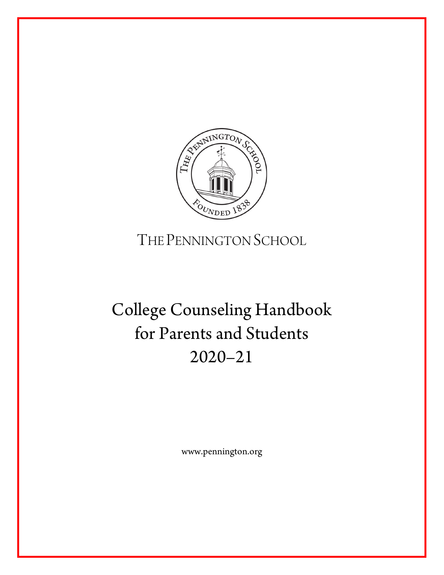

# THE PENNINGTON SCHOOL

# College Counseling Handbook for Parents and Students 2020–21

www.pennington.org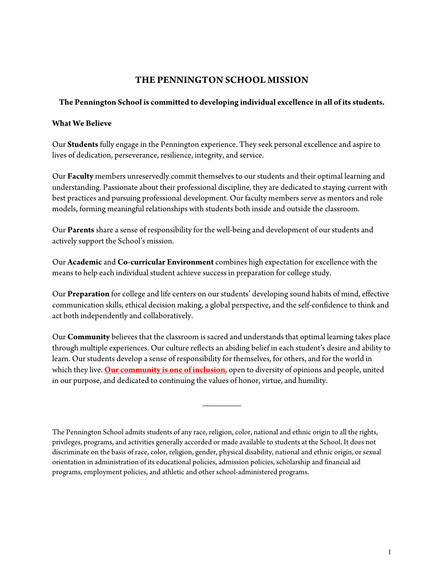# **THE PENNINGTON SCHOOL MISSION**

### **The Pennington School is committed to developing individual excellence in all of its students.**

### **What We Believe**

Our **Students** fully engage in the Pennington experience. They seek personal excellence and aspire to lives of dedication, perseverance, resilience, integrity, and service.

Our **Faculty** members unreservedly commit themselves to our students and their optimal learning and understanding. Passionate about their professional discipline, they are dedicated to staying current with best practices and pursuing professional development. Our faculty members serve as mentors and role models, forming meaningful relationships with students both inside and outside the classroom.

Our **Parents** share a sense of responsibility for the well-being and development of our students and actively support the School's mission.

Our **Academic** and **Co-curricular Environment** combines high expectation for excellence with the means to help each individual student achieve success in preparation for college study.

Our **Preparation** for college and life centers on our students' developing sound habits of mind, effective communication skills, ethical decision making, a global perspective, and the self-confidence to think and act both independently and collaboratively.

Our **Community** believes that the classroom is sacred and understands that optimal learning takes place through multiple experiences. Our culture reflects an abiding belief in each student's desire and ability to learn. Our students develop a sense of responsibility for themselves, for others, and for the world in which they live. **[Our community is one of inclusion](https://www.pennington.org/about-us/diversity-equity-inclusion)**, open to diversity of opinions and people, united in our purpose, and dedicated to continuing the values of honor, virtue, and humility.

 $\overline{\phantom{a}}$ 

The Pennington School admits students of any race, religion, color, national and ethnic origin to all the rights, privileges, programs, and activities generally accorded or made available to students at the School. It does not discriminate on the basis of race, color, religion, gender, physical disability, national and ethnic origin, or sexual orientation in administration of its educational policies, admission policies, scholarship and financial aid programs, employment policies, and athletic and other school-administered programs.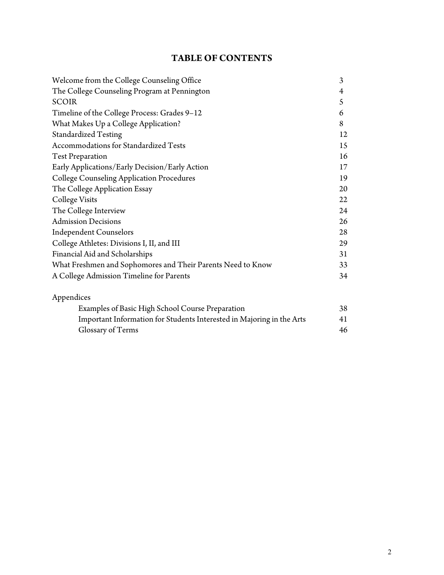# **TABLE OF CONTENTS**

| Welcome from the College Counseling Office                  | 3  |
|-------------------------------------------------------------|----|
| The College Counseling Program at Pennington                | 4  |
| <b>SCOIR</b>                                                | 5  |
| Timeline of the College Process: Grades 9-12                | 6  |
| What Makes Up a College Application?                        | 8  |
| <b>Standardized Testing</b>                                 | 12 |
| Accommodations for Standardized Tests                       | 15 |
| <b>Test Preparation</b>                                     | 16 |
| Early Applications/Early Decision/Early Action              | 17 |
| <b>College Counseling Application Procedures</b>            | 19 |
| The College Application Essay                               | 20 |
| <b>College Visits</b>                                       | 22 |
| The College Interview                                       | 24 |
| <b>Admission Decisions</b>                                  | 26 |
| <b>Independent Counselors</b>                               | 28 |
| College Athletes: Divisions I, II, and III                  | 29 |
| Financial Aid and Scholarships                              | 31 |
| What Freshmen and Sophomores and Their Parents Need to Know | 33 |
| A College Admission Timeline for Parents                    | 34 |
| Appendices                                                  |    |
| Examples of Basic High School Course Dreparation            | 2Q |

| Examples of Basic High School Course Preparation                      | 38 |
|-----------------------------------------------------------------------|----|
| Important Information for Students Interested in Majoring in the Arts | 41 |
| Glossary of Terms                                                     | 46 |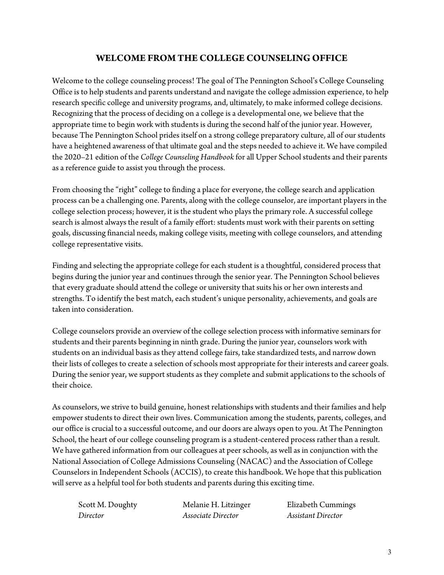# **WELCOME FROM THE COLLEGE COUNSELING OFFICE**

Welcome to the college counseling process! The goal of The Pennington School's College Counseling Office is to help students and parents understand and navigate the college admission experience, to help research specific college and university programs, and, ultimately, to make informed college decisions. Recognizing that the process of deciding on a college is a developmental one, we believe that the appropriate time to begin work with students is during the second half of the junior year. However, because The Pennington School prides itself on a strong college preparatory culture, all of our students have a heightened awareness of that ultimate goal and the steps needed to achieve it. We have compiled the 2020–21 edition of the *College Counseling Handbook* for all Upper School students and their parents as a reference guide to assist you through the process.

From choosing the "right" college to finding a place for everyone, the college search and application process can be a challenging one. Parents, along with the college counselor, are important players in the college selection process; however, it is the student who plays the primary role. A successful college search is almost always the result of a family effort: students must work with their parents on setting goals, discussing financial needs, making college visits, meeting with college counselors, and attending college representative visits.

Finding and selecting the appropriate college for each student is a thoughtful, considered process that begins during the junior year and continues through the senior year. The Pennington School believes that every graduate should attend the college or university that suits his or her own interests and strengths. To identify the best match, each student's unique personality, achievements, and goals are taken into consideration.

College counselors provide an overview of the college selection process with informative seminars for students and their parents beginning in ninth grade. During the junior year, counselors work with students on an individual basis as they attend college fairs, take standardized tests, and narrow down their lists of colleges to create a selection of schools most appropriate for their interests and career goals. During the senior year, we support students as they complete and submit applications to the schools of their choice.

As counselors, we strive to build genuine, honest relationships with students and their families and help empower students to direct their own lives. Communication among the students, parents, colleges, and our office is crucial to a successful outcome, and our doors are always open to you. At The Pennington School, the heart of our college counseling program is a student-centered process rather than a result. We have gathered information from our colleagues at peer schools, as well as in conjunction with the National Association of College Admissions Counseling (NACAC) and the Association of College Counselors in Independent Schools (ACCIS), to create this handbook. We hope that this publication will serve as a helpful tool for both students and parents during this exciting time.

*Director Associate Director Assistant Director*

Scott M. Doughty **Melanie H. Litzinger** Elizabeth Cummings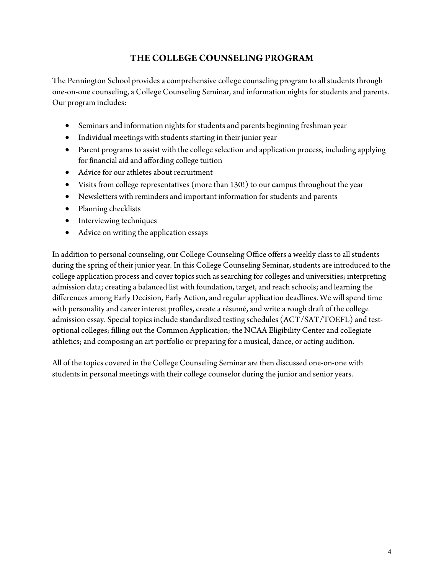# **THE COLLEGE COUNSELING PROGRAM**

The Pennington School provides a comprehensive college counseling program to all students through one-on-one counseling, a College Counseling Seminar, and information nights for students and parents. Our program includes:

- Seminars and information nights for students and parents beginning freshman year
- Individual meetings with students starting in their junior year
- Parent programs to assist with the college selection and application process, including applying for financial aid and affording college tuition
- Advice for our athletes about recruitment
- Visits from college representatives (more than 130!) to our campus throughout the year
- Newsletters with reminders and important information for students and parents
- Planning checklists
- Interviewing techniques
- Advice on writing the application essays

In addition to personal counseling, our College Counseling Office offers a weekly class to all students during the spring of their junior year. In this College Counseling Seminar, students are introduced to the college application process and cover topics such as searching for colleges and universities; interpreting admission data; creating a balanced list with foundation, target, and reach schools; and learning the differences among Early Decision, Early Action, and regular application deadlines. We will spend time with personality and career interest profiles, create a résumé, and write a rough draft of the college admission essay. Special topics include standardized testing schedules (ACT/SAT/TOEFL) and testoptional colleges; filling out the Common Application; the NCAA Eligibility Center and collegiate athletics; and composing an art portfolio or preparing for a musical, dance, or acting audition.

All of the topics covered in the College Counseling Seminar are then discussed one-on-one with students in personal meetings with their college counselor during the junior and senior years.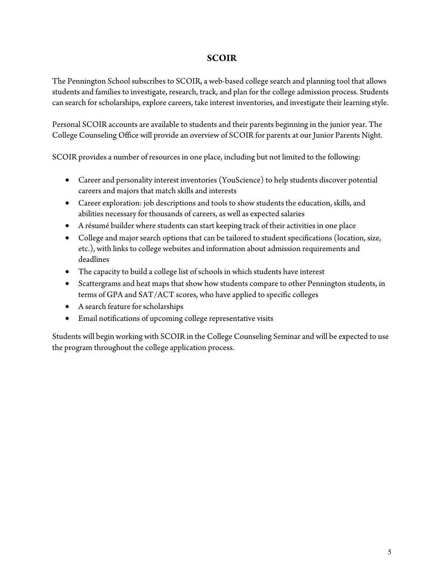# **SCOIR**

The Pennington School subscribes to SCOIR, a web-based college search and planning tool that allows students and families to investigate, research, track, and plan for the college admission process. Students can search for scholarships, explore careers, take interest inventories, and investigate their learning style.

Personal SCOIR accounts are available to students and their parents beginning in the junior year. The College Counseling Office will provide an overview of SCOIR for parents at our Junior Parents Night.

SCOIR provides a number of resources in one place, including but not limited to the following:

- Career and personality interest inventories (YouScience) to help students discover potential careers and majors that match skills and interests
- Career exploration: job descriptions and tools to show students the education, skills, and abilities necessary for thousands of careers, as well as expected salaries
- A résumé builder where students can start keeping track of their activities in one place
- College and major search options that can be tailored to student specifications (location, size, etc.), with links to college websites and information about admission requirements and deadlines
- The capacity to build a college list of schools in which students have interest
- Scattergrams and heat maps that show how students compare to other Pennington students, in terms of GPA and SAT/ACT scores, who have applied to specific colleges
- A search feature for scholarships
- Email notifications of upcoming college representative visits

Students will begin working with SCOIR in the College Counseling Seminar and will be expected to use the program throughout the college application process.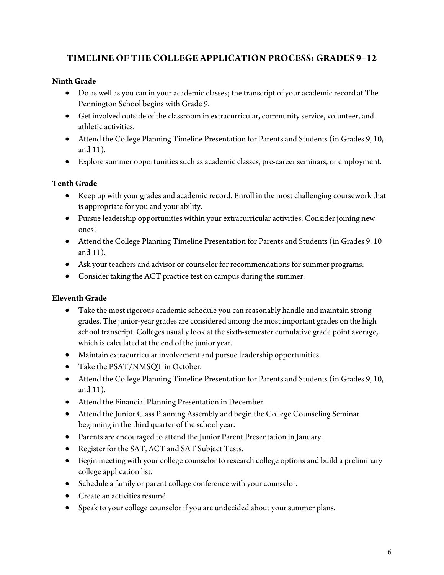# **TIMELINE OF THE COLLEGE APPLICATION PROCESS: GRADES 9–12**

# **Ninth Grade**

- Do as well as you can in your academic classes; the transcript of your academic record at The Pennington School begins with Grade 9.
- Get involved outside of the classroom in extracurricular, community service, volunteer, and athletic activities.
- Attend the College Planning Timeline Presentation for Parents and Students (in Grades 9, 10, and 11).
- Explore summer opportunities such as academic classes, pre-career seminars, or employment.

# **Tenth Grade**

- Keep up with your grades and academic record. Enroll in the most challenging coursework that is appropriate for you and your ability.
- Pursue leadership opportunities within your extracurricular activities. Consider joining new ones!
- Attend the College Planning Timeline Presentation for Parents and Students (in Grades 9, 10 and 11).
- Ask your teachers and advisor or counselor for recommendations for summer programs.
- Consider taking the ACT practice test on campus during the summer.

# **Eleventh Grade**

- Take the most rigorous academic schedule you can reasonably handle and maintain strong grades. The junior-year grades are considered among the most important grades on the high school transcript. Colleges usually look at the sixth-semester cumulative grade point average, which is calculated at the end of the junior year.
- Maintain extracurricular involvement and pursue leadership opportunities.
- Take the PSAT/NMSQT in October.
- Attend the College Planning Timeline Presentation for Parents and Students (in Grades 9, 10, and 11).
- Attend the Financial Planning Presentation in December.
- Attend the Junior Class Planning Assembly and begin the College Counseling Seminar beginning in the third quarter of the school year.
- Parents are encouraged to attend the Junior Parent Presentation in January.
- Register for the SAT, ACT and SAT Subject Tests.
- Begin meeting with your college counselor to research college options and build a preliminary college application list.
- Schedule a family or parent college conference with your counselor.
- Create an activities résumé.
- Speak to your college counselor if you are undecided about your summer plans.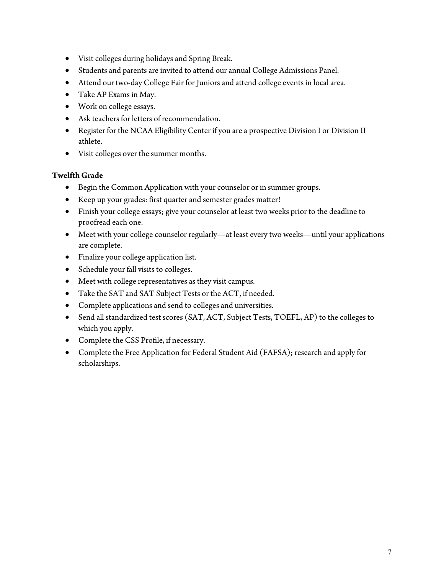- Visit colleges during holidays and Spring Break.
- Students and parents are invited to attend our annual College Admissions Panel.
- Attend our two-day College Fair for Juniors and attend college events in local area.
- Take AP Exams in May.
- Work on college essays.
- Ask teachers for letters of recommendation.
- Register for the NCAA Eligibility Center if you are a prospective Division I or Division II athlete.
- Visit colleges over the summer months.

### **Twelfth Grade**

- Begin the Common Application with your counselor or in summer groups.
- Keep up your grades: first quarter and semester grades matter!
- Finish your college essays; give your counselor at least two weeks prior to the deadline to proofread each one.
- Meet with your college counselor regularly—at least every two weeks—until your applications are complete.
- Finalize your college application list.
- Schedule your fall visits to colleges.
- Meet with college representatives as they visit campus.
- Take the SAT and SAT Subject Tests or the ACT, if needed.
- Complete applications and send to colleges and universities.
- Send all standardized test scores (SAT, ACT, Subject Tests, TOEFL, AP) to the colleges to which you apply.
- Complete the CSS Profile, if necessary.
- Complete the Free Application for Federal Student Aid (FAFSA); research and apply for scholarships.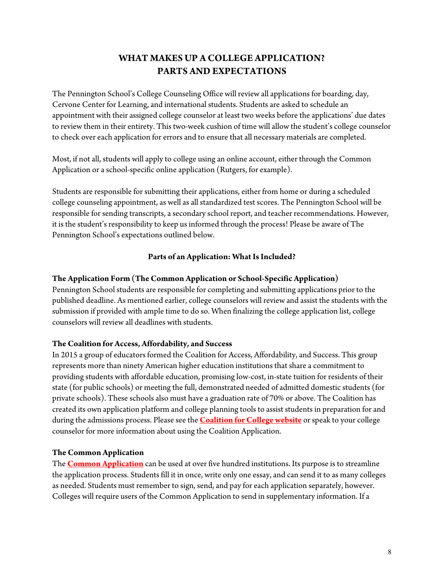# **WHAT MAKES UP A COLLEGE APPLICATION? PARTS AND EXPECTATIONS**

The Pennington School's College Counseling Office will review all applications for boarding, day, Cervone Center for Learning, and international students. Students are asked to schedule an appointment with their assigned college counselor at least two weeks before the applications' due dates to review them in their entirety. This two-week cushion of time will allow the student's college counselor to check over each application for errors and to ensure that all necessary materials are completed.

Most, if not all, students will apply to college using an online account, either through the Common Application or a school-specific online application (Rutgers, for example).

Students are responsible for submitting their applications, either from home or during a scheduled college counseling appointment, as well as all standardized test scores. The Pennington School will be responsible for sending transcripts, a secondary school report, and teacher recommendations. However, it is the student's responsibility to keep us informed through the process! Please be aware of The Pennington School's expectations outlined below.

### **Parts of an Application: What Is Included?**

### **The Application Form (The Common Application or School-Specific Application)**

Pennington School students are responsible for completing and submitting applications prior to the published deadline. As mentioned earlier, college counselors will review and assist the students with the submission if provided with ample time to do so. When finalizing the college application list, college counselors will review all deadlines with students.

### **The Coalition for Access, Affordability, and Success**

In 2015 a group of educators formed the Coalition for Access, Affordability, and Success. This group represents more than ninety American higher education institutions that share a commitment to providing students with affordable education, promising low-cost, in-state tuition for residents of their state (for public schools) or meeting the full, demonstrated needed of admitted domestic students (for private schools). These schools also must have a graduation rate of 70% or above. The Coalition has created its own application platform and college planning tools to assist students in preparation for and during the admissions process. Please see the **[Coalition for College website](https://www.coalitionforcollegeaccess.org/)** or speak to your college counselor for more information about using the Coalition Application.

### **The Common Application**

The **[Common Application](http://www.commonapp.org/)** can be used at over five hundred institutions. Its purpose is to streamline the application process. Students fill it in once, write only one essay, and can send it to as many colleges as needed. Students must remember to sign, send, and pay for each application separately, however. Colleges will require users of the Common Application to send in supplementary information. If a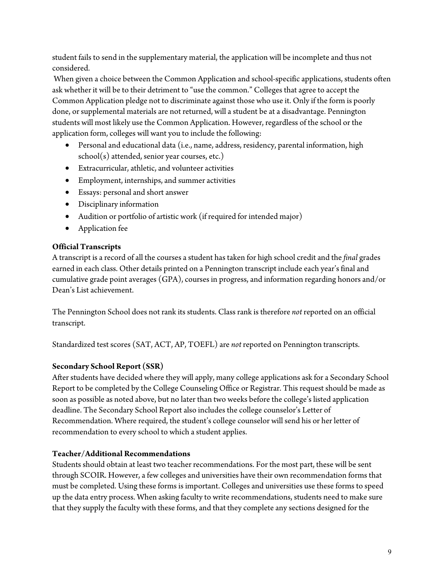student fails to send in the supplementary material, the application will be incomplete and thus not considered.

 When given a choice between the Common Application and school-specific applications, students often ask whether it will be to their detriment to "use the common." Colleges that agree to accept the Common Application pledge not to discriminate against those who use it. Only if the form is poorly done, or supplemental materials are not returned, will a student be at a disadvantage. Pennington students will most likely use the Common Application. However, regardless of the school or the application form, colleges will want you to include the following:

- Personal and educational data (i.e., name, address, residency, parental information, high school(s) attended, senior year courses, etc.)
- Extracurricular, athletic, and volunteer activities
- Employment, internships, and summer activities
- Essays: personal and short answer
- Disciplinary information
- Audition or portfolio of artistic work (if required for intended major)
- Application fee

## **Official Transcripts**

A transcript is a record of all the courses a student has taken for high school credit and the *final* grades earned in each class. Other details printed on a Pennington transcript include each year's final and cumulative grade point averages (GPA), courses in progress, and information regarding honors and/or Dean's List achievement.

The Pennington School does not rank its students. Class rank is therefore *not* reported on an official transcript.

Standardized test scores (SAT, ACT, AP, TOEFL) are *not* reported on Pennington transcripts.

## **Secondary School Report (SSR)**

After students have decided where they will apply, many college applications ask for a Secondary School Report to be completed by the College Counseling Office or Registrar. This request should be made as soon as possible as noted above, but no later than two weeks before the college's listed application deadline. The Secondary School Report also includes the college counselor's Letter of Recommendation. Where required, the student's college counselor will send his or her letter of recommendation to every school to which a student applies.

## **Teacher/Additional Recommendations**

Students should obtain at least two teacher recommendations. For the most part, these will be sent through SCOIR. However, a few colleges and universities have their own recommendation forms that must be completed. Using these forms is important. Colleges and universities use these forms to speed up the data entry process. When asking faculty to write recommendations, students need to make sure that they supply the faculty with these forms, and that they complete any sections designed for the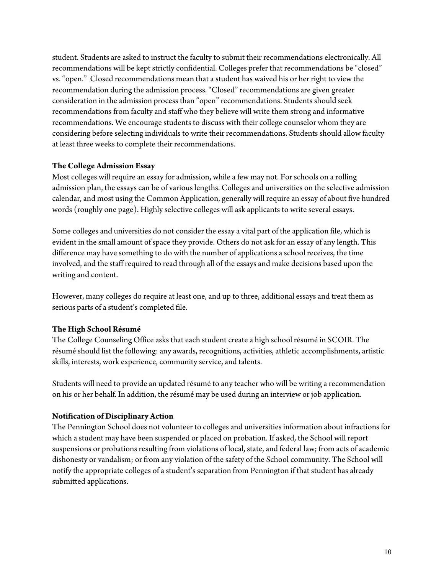student. Students are asked to instruct the faculty to submit their recommendations electronically. All recommendations will be kept strictly confidential. Colleges prefer that recommendations be "closed" vs. "open." Closed recommendations mean that a student has waived his or her right to view the recommendation during the admission process. "Closed" recommendations are given greater consideration in the admission process than "open" recommendations. Students should seek recommendations from faculty and staff who they believe will write them strong and informative recommendations. We encourage students to discuss with their college counselor whom they are considering before selecting individuals to write their recommendations. Students should allow faculty at least three weeks to complete their recommendations.

### **The College Admission Essay**

Most colleges will require an essay for admission, while a few may not. For schools on a rolling admission plan, the essays can be of various lengths. Colleges and universities on the selective admission calendar, and most using the Common Application, generally will require an essay of about five hundred words (roughly one page). Highly selective colleges will ask applicants to write several essays.

Some colleges and universities do not consider the essay a vital part of the application file, which is evident in the small amount of space they provide. Others do not ask for an essay of any length. This difference may have something to do with the number of applications a school receives, the time involved, and the staff required to read through all of the essays and make decisions based upon the writing and content.

However, many colleges do require at least one, and up to three, additional essays and treat them as serious parts of a student's completed file.

## **The High School Résumé**

The College Counseling Office asks that each student create a high school résumé in SCOIR. The résumé should list the following: any awards, recognitions, activities, athletic accomplishments, artistic skills, interests, work experience, community service, and talents.

Students will need to provide an updated résumé to any teacher who will be writing a recommendation on his or her behalf. In addition, the résumé may be used during an interview or job application.

### **Notification of Disciplinary Action**

The Pennington School does not volunteer to colleges and universities information about infractions for which a student may have been suspended or placed on probation. If asked, the School will report suspensions or probations resulting from violations of local, state, and federal law; from acts of academic dishonesty or vandalism; or from any violation of the safety of the School community. The School will notify the appropriate colleges of a student's separation from Pennington if that student has already submitted applications.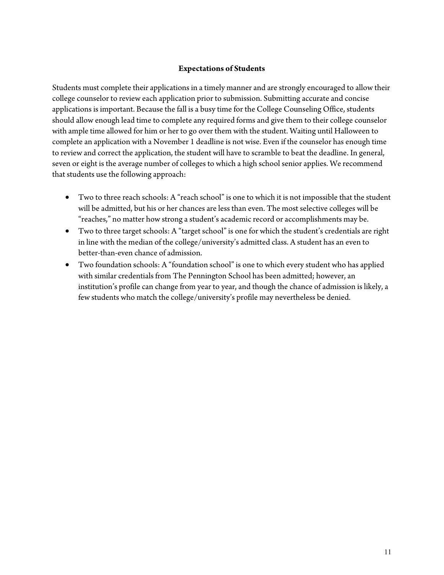### **Expectations of Students**

Students must complete their applications in a timely manner and are strongly encouraged to allow their college counselor to review each application prior to submission. Submitting accurate and concise applications is important. Because the fall is a busy time for the College Counseling Office, students should allow enough lead time to complete any required forms and give them to their college counselor with ample time allowed for him or her to go over them with the student. Waiting until Halloween to complete an application with a November 1 deadline is not wise. Even if the counselor has enough time to review and correct the application, the student will have to scramble to beat the deadline. In general, seven or eight is the average number of colleges to which a high school senior applies. We recommend that students use the following approach:

- Two to three reach schools: A "reach school" is one to which it is not impossible that the student will be admitted, but his or her chances are less than even. The most selective colleges will be "reaches," no matter how strong a student's academic record or accomplishments may be.
- Two to three target schools: A "target school" is one for which the student's credentials are right in line with the median of the college/university's admitted class. A student has an even to better-than-even chance of admission.
- Two foundation schools: A "foundation school" is one to which every student who has applied with similar credentials from The Pennington School has been admitted; however, an institution's profile can change from year to year, and though the chance of admission is likely, a few students who match the college/university's profile may nevertheless be denied.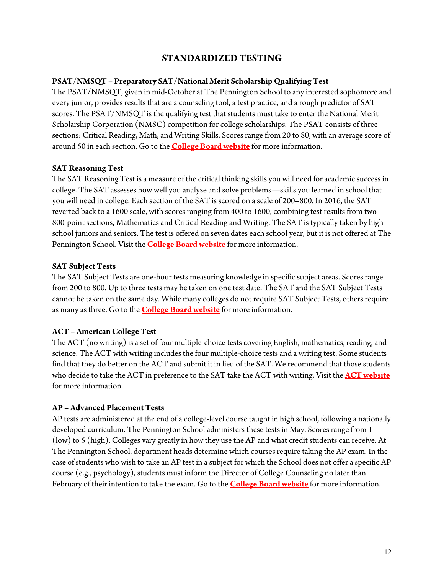# **STANDARDIZED TESTING**

### **PSAT/NMSQT – Preparatory SAT/National Merit Scholarship Qualifying Test**

The PSAT/NMSQT, given in mid-October at The Pennington School to any interested sophomore and every junior, provides results that are a counseling tool, a test practice, and a rough predictor of SAT scores. The PSAT/NMSQT is the qualifying test that students must take to enter the National Merit Scholarship Corporation (NMSC) competition for college scholarships. The PSAT consists of three sections: Critical Reading, Math, and Writing Skills. Scores range from 20 to 80, with an average score of around 50 in each section. Go to the **[College Board website](http://www.collegeboard.com/)** for more information.

### **SAT Reasoning Test**

The SAT Reasoning Test is a measure of the critical thinking skills you will need for academic success in college. The SAT assesses how well you analyze and solve problems—skills you learned in school that you will need in college. Each section of the SAT is scored on a scale of 200–800. In 2016, the SAT reverted back to a 1600 scale, with scores ranging from 400 to 1600, combining test results from two 800-point sections, Mathematics and Critical Reading and Writing. The SAT is typically taken by high school juniors and seniors. The test is offered on seven dates each school year, but it is not offered at The Pennington School. Visit the **[College Board website](http://www.collegeboard.com/)** for more information.

### **SAT Subject Tests**

The SAT Subject Tests are one-hour tests measuring knowledge in specific subject areas. Scores range from 200 to 800. Up to three tests may be taken on one test date. The SAT and the SAT Subject Tests cannot be taken on the same day. While many colleges do not require SAT Subject Tests, others require as many as three. Go to the **[College Board website](http://www.collegeboard.com/)** for more information.

### **ACT – American College Test**

The ACT (no writing) is a set of four multiple-choice tests covering English, mathematics, reading, and science. The ACT with writing includes the four multiple-choice tests and a [writing test.](http://www.actstudent.org/writing/index.html) Some students find that they do better on the ACT and submit it in lieu of the SAT. We recommend that those students who decide to take the ACT in preference to the SAT take the ACT with writing. Visit the **[ACT website](https://www.act.org/content/act/en/students-and-parents.html)** for more information.

### **AP – Advanced Placement Tests**

AP tests are administered at the end of a college-level course taught in high school, following a nationally developed curriculum. The Pennington School administers these tests in May. Scores range from 1 (low) to 5 (high). Colleges vary greatly in how they use the AP and what credit students can receive. At The Pennington School, department heads determine which courses require taking the AP exam. In the case of students who wish to take an AP test in a subject for which the School does not offer a specific AP course (e.g., psychology), students must inform the Director of College Counseling no later than February of their intention to take the exam. Go to the **[College Board website](http://www.collegeboard.com/)** for more information.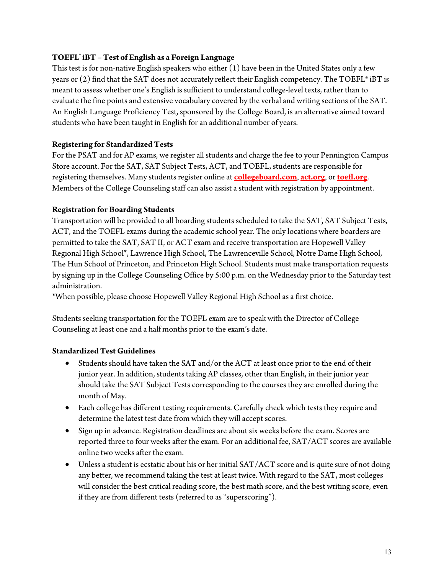# **TOEFL® iBT – Test of English as a Foreign Language**

This test is for non-native English speakers who either (1) have been in the United States only a few years or (2) find that the SAT does not accurately reflect their English competency. The TOEFL® iBT is meant to assess whether one's English is sufficient to understand college-level texts, rather than to evaluate the fine points and extensive vocabulary covered by the verbal and writing sections of the SAT. An English Language Proficiency Test, sponsored by the College Board, is an alternative aimed toward students who have been taught in English for an additional number of years.

### **Registering for Standardized Tests**

For the PSAT and for AP exams, we register all students and charge the fee to your Pennington Campus Store account. For the SAT, SAT Subject Tests, ACT, and TOEFL, students are responsible for registering themselves. Many students register online at **[collegeboard.com](http://www.collegeboard.com/)**, **[act.org](https://www.act.org/)**, or **[toefl.org](http://www.toefl.org/)**. Members of the College Counseling staff can also assist a student with registration by appointment.

### **Registration for Boarding Students**

Transportation will be provided to all boarding students scheduled to take the SAT, SAT Subject Tests, ACT, and the TOEFL exams during the academic school year. The only locations where boarders are permitted to take the SAT, SAT II, or ACT exam and receive transportation are Hopewell Valley Regional High School\*, Lawrence High School, The Lawrenceville School, Notre Dame High School, The Hun School of Princeton, and Princeton High School. Students must make transportation requests by signing up in the College Counseling Office by 5:00 p.m. on the Wednesday prior to the Saturday test administration.

\*When possible, please choose Hopewell Valley Regional High School as a first choice.

Students seeking transportation for the TOEFL exam are to speak with the Director of College Counseling at least one and a half months prior to the exam's date.

### **Standardized Test Guidelines**

- Students should have taken the SAT and/or the ACT at least once prior to the end of their junior year. In addition, students taking AP classes, other than English, in their junior year should take the SAT Subject Tests corresponding to the courses they are enrolled during the month of May.
- Each college has different testing requirements. Carefully check which tests they require and determine the latest test date from which they will accept scores.
- Sign up in advance. Registration deadlines are about six weeks before the exam. Scores are reported three to four weeks after the exam. For an additional fee, SAT/ACT scores are available online two weeks after the exam.
- Unless a student is ecstatic about his or her initial SAT/ACT score and is quite sure of not doing any better, we recommend taking the test at least twice. With regard to the SAT, most colleges will consider the best critical reading score, the best math score, and the best writing score, even if they are from different tests (referred to as "superscoring").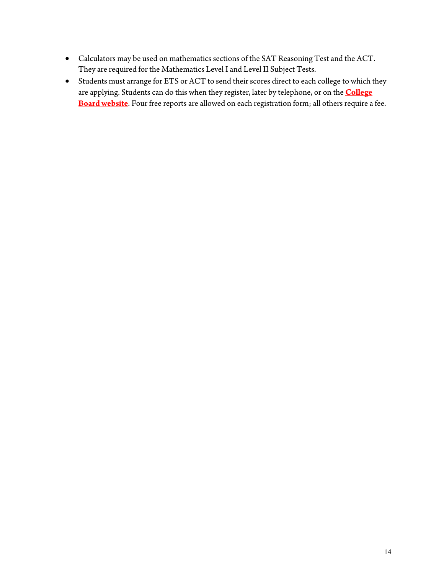- Calculators may be used on mathematics sections of the SAT Reasoning Test and the ACT. They are required for the Mathematics Level I and Level II Subject Tests.
- Students must arrange for ETS or ACT to send their scores direct to each college to which they are applying. Students can do this when they register, later by telephone, or on the **[College](http://www.collegeboard.com/)  [Board website](http://www.collegeboard.com/)**. Four free reports are allowed on each registration form; all others require a fee.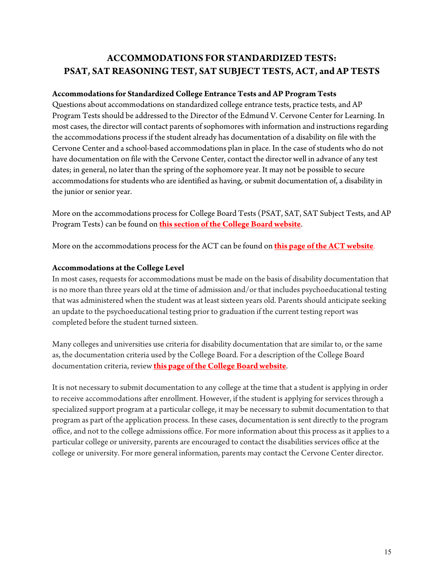# **ACCOMMODATIONS FOR STANDARDIZED TESTS: PSAT, SAT REASONING TEST, SAT SUBJECT TESTS, ACT, and AP TESTS**

### **Accommodations for Standardized College Entrance Tests and AP Program Tests**

Questions about accommodations on standardized college entrance tests, practice tests, and AP Program Tests should be addressed to the Director of the Edmund V. Cervone Center for Learning. In most cases, the director will contact parents of sophomores with information and instructions regarding the accommodations process if the student already has documentation of a disability on file with the Cervone Center and a school-based accommodations plan in place. In the case of students who do not have documentation on file with the Cervone Center, contact the director well in advance of any test dates; in general, no later than the spring of the sophomore year. It may not be possible to secure accommodations for students who are identified as having, or submit documentation of, a disability in the junior or senior year.

More on the accommodations process for College Board Tests (PSAT, SAT, SAT Subject Tests, and AP Program Tests) can be found on **[this section of the College Board website](https://accommodations.collegeboard.org/)**.

More on the accommodations process for the ACT can be found on **[this page of the ACT website](http://www.actstudent.org/regist/disab)**.

### **Accommodations at the College Level**

In most cases, requests for accommodations must be made on the basis of disability documentation that is no more than three years old at the time of admission and/or that includes psychoeducational testing that was administered when the student was at least sixteen years old. Parents should anticipate seeking an update to the psychoeducational testing prior to graduation if the current testing report was completed before the student turned sixteen.

Many colleges and universities use criteria for disability documentation that are similar to, or the same as, the documentation criteria used by the College Board. For a description of the College Board documentation criteria, review **[this page of the College Board website](https://accommodations.collegeboard.org/documentation-guidelines/disability-documentation)**.

It is not necessary to submit documentation to any college at the time that a student is applying in order to receive accommodations after enrollment. However, if the student is applying for services through a specialized support program at a particular college, it may be necessary to submit documentation to that program as part of the application process. In these cases, documentation is sent directly to the program office, and not to the college admissions office. For more information about this process as it applies to a particular college or university, parents are encouraged to contact the disabilities services office at the college or university. For more general information, parents may contact the Cervone Center director.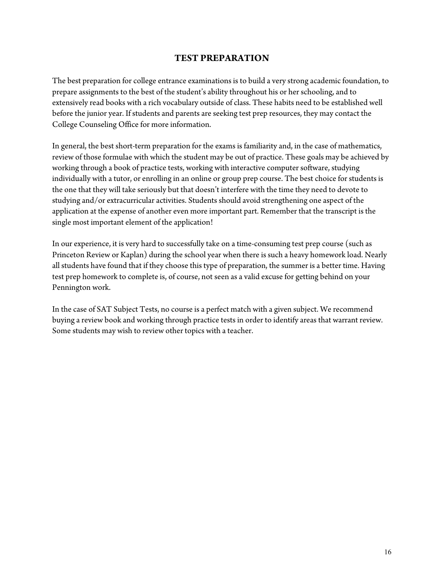# **TEST PREPARATION**

The best preparation for college entrance examinations is to build a very strong academic foundation, to prepare assignments to the best of the student's ability throughout his or her schooling, and to extensively read books with a rich vocabulary outside of class. These habits need to be established well before the junior year. If students and parents are seeking test prep resources, they may contact the College Counseling Office for more information.

In general, the best short-term preparation for the exams is familiarity and, in the case of mathematics, review of those formulae with which the student may be out of practice. These goals may be achieved by working through a book of practice tests, working with interactive computer software, studying individually with a tutor, or enrolling in an online or group prep course. The best choice for students is the one that they will take seriously but that doesn't interfere with the time they need to devote to studying and/or extracurricular activities. Students should avoid strengthening one aspect of the application at the expense of another even more important part. Remember that the transcript is the single most important element of the application!

In our experience, it is very hard to successfully take on a time-consuming test prep course (such as Princeton Review or Kaplan) during the school year when there is such a heavy homework load. Nearly all students have found that if they choose this type of preparation, the summer is a better time. Having test prep homework to complete is, of course, not seen as a valid excuse for getting behind on your Pennington work.

In the case of SAT Subject Tests, no course is a perfect match with a given subject. We recommend buying a review book and working through practice tests in order to identify areas that warrant review. Some students may wish to review other topics with a teacher.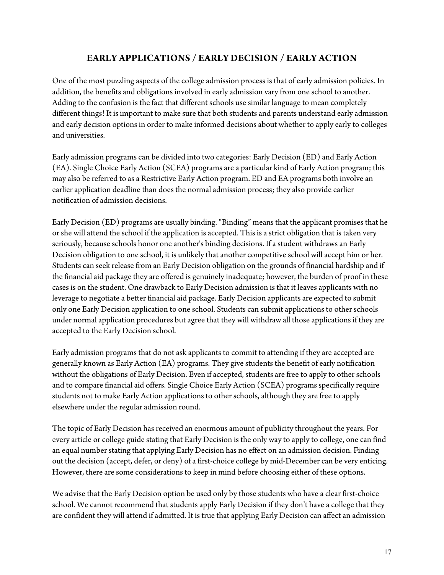# **EARLY APPLICATIONS / EARLY DECISION / EARLY ACTION**

One of the most puzzling aspects of the college admission process is that of early admission policies. In addition, the benefits and obligations involved in early admission vary from one school to another. Adding to the confusion is the fact that different schools use similar language to mean completely different things! It is important to make sure that both students and parents understand early admission and early decision options in order to make informed decisions about whether to apply early to colleges and universities.

Early admission programs can be divided into two categories: Early Decision (ED) and Early Action (EA). Single Choice Early Action (SCEA) programs are a particular kind of Early Action program; this may also be referred to as a Restrictive Early Action program. ED and EA programs both involve an earlier application deadline than does the normal admission process; they also provide earlier notification of admission decisions.

Early Decision (ED) programs are usually binding. "Binding" means that the applicant promises that he or she will attend the school if the application is accepted. This is a strict obligation that is taken very seriously, because schools honor one another's binding decisions. If a student withdraws an Early Decision obligation to one school, it is unlikely that another competitive school will accept him or her. Students can seek release from an Early Decision obligation on the grounds of financial hardship and if the financial aid package they are offered is genuinely inadequate; however, the burden of proof in these cases is on the student. One drawback to Early Decision admission is that it leaves applicants with no leverage to negotiate a better financial aid package. Early Decision applicants are expected to submit only one Early Decision application to one school. Students can submit applications to other schools under normal application procedures but agree that they will withdraw all those applications if they are accepted to the Early Decision school.

Early admission programs that do not ask applicants to commit to attending if they are accepted are generally known as Early Action (EA) programs. They give students the benefit of early notification without the obligations of Early Decision. Even if accepted, students are free to apply to other schools and to compare financial aid offers. Single Choice Early Action (SCEA) programs specifically require students not to make Early Action applications to other schools, although they are free to apply elsewhere under the regular admission round.

The topic of Early Decision has received an enormous amount of publicity throughout the years. For every article or college guide stating that Early Decision is the only way to apply to college, one can find an equal number stating that applying Early Decision has no effect on an admission decision. Finding out the decision (accept, defer, or deny) of a first-choice college by mid-December can be very enticing. However, there are some considerations to keep in mind before choosing either of these options.

We advise that the Early Decision option be used only by those students who have a clear first-choice school. We cannot recommend that students apply Early Decision if they don't have a college that they are confident they will attend if admitted. It is true that applying Early Decision can affect an admission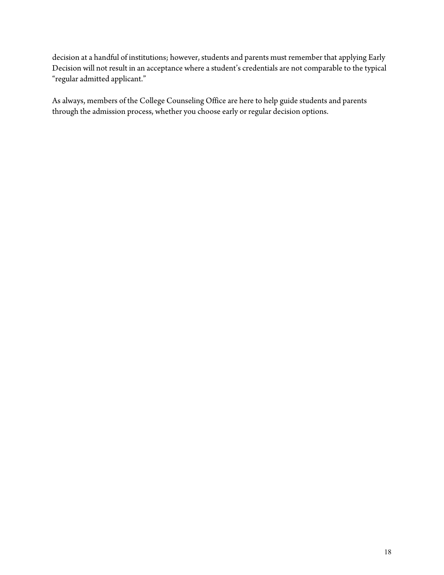decision at a handful of institutions; however, students and parents must remember that applying Early Decision will not result in an acceptance where a student's credentials are not comparable to the typical "regular admitted applicant."

As always, members of the College Counseling Office are here to help guide students and parents through the admission process, whether you choose early or regular decision options.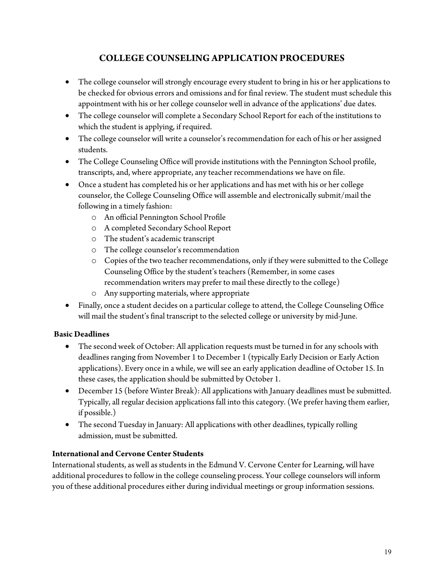# **COLLEGE COUNSELING APPLICATION PROCEDURES**

- The college counselor will strongly encourage every student to bring in his or her applications to be checked for obvious errors and omissions and for final review. The student must schedule this appointment with his or her college counselor well in advance of the applications' due dates.
- The college counselor will complete a Secondary School Report for each of the institutions to which the student is applying, if required.
- The college counselor will write a counselor's recommendation for each of his or her assigned students.
- The College Counseling Office will provide institutions with the Pennington School profile, transcripts, and, where appropriate, any teacher recommendations we have on file.
- Once a student has completed his or her applications and has met with his or her college counselor, the College Counseling Office will assemble and electronically submit/mail the following in a timely fashion:
	- o An official Pennington School Profile
	- o A completed Secondary School Report
	- o The student's academic transcript
	- o The college counselor's recommendation
	- o Copies of the two teacher recommendations, only if they were submitted to the College Counseling Office by the student's teachers (Remember, in some cases recommendation writers may prefer to mail these directly to the college)
	- o Any supporting materials, where appropriate
- Finally, once a student decides on a particular college to attend, the College Counseling Office will mail the student's final transcript to the selected college or university by mid-June.

## **Basic Deadlines**

- The second week of October: All application requests must be turned in for any schools with deadlines ranging from November 1 to December 1 (typically Early Decision or Early Action applications). Every once in a while, we will see an early application deadline of October 15. In these cases, the application should be submitted by October 1.
- December 15 (before Winter Break): All applications with January deadlines must be submitted. Typically, all regular decision applications fall into this category. (We prefer having them earlier, if possible.)
- The second Tuesday in January: All applications with other deadlines, typically rolling admission, must be submitted.

## **International and Cervone Center Students**

International students, as well as students in the Edmund V. Cervone Center for Learning, will have additional procedures to follow in the college counseling process. Your college counselors will inform you of these additional procedures either during individual meetings or group information sessions.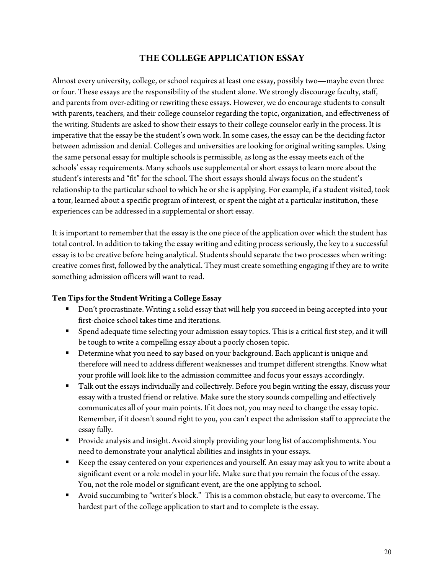# **THE COLLEGE APPLICATION ESSAY**

Almost every university, college, or school requires at least one essay, possibly two—maybe even three or four. These essays are the responsibility of the student alone. We strongly discourage faculty, staff, and parents from over-editing or rewriting these essays. However, we do encourage students to consult with parents, teachers, and their college counselor regarding the topic, organization, and effectiveness of the writing. Students are asked to show their essays to their college counselor early in the process. It is imperative that the essay be the student's own work. In some cases, the essay can be the deciding factor between admission and denial. Colleges and universities are looking for original writing samples. Using the same personal essay for multiple schools is permissible, as long as the essay meets each of the schools' essay requirements. Many schools use supplemental or short essays to learn more about the student's interests and "fit" for the school. The short essays should always focus on the student's relationship to the particular school to which he or she is applying. For example, if a student visited, took a tour, learned about a specific program of interest, or spent the night at a particular institution, these experiences can be addressed in a supplemental or short essay.

It is important to remember that the essay is the one piece of the application over which the student has total control. In addition to taking the essay writing and editing process seriously, the key to a successful essay is to be creative before being analytical. Students should separate the two processes when writing: creative comes first, followed by the analytical. They must create something engaging if they are to write something admission officers will want to read.

### **Ten Tips for the Student Writing a College Essay**

- Don't procrastinate. Writing a solid essay that will help you succeed in being accepted into your first-choice school takes time and iterations.
- Spend adequate time selecting your admission essay topics. This is a critical first step, and it will be tough to write a compelling essay about a poorly chosen topic.
- Determine what you need to say based on your background. Each applicant is unique and therefore will need to address different weaknesses and trumpet different strengths. Know what your profile will look like to the admission committee and focus your essays accordingly.
- Talk out the essays individually and collectively. Before you begin writing the essay, discuss your essay with a trusted friend or relative. Make sure the story sounds compelling and effectively communicates all of your main points. If it does not, you may need to change the essay topic. Remember, if it doesn't sound right to you, you can't expect the admission staff to appreciate the essay fully.
- Provide analysis and insight. Avoid simply providing your long list of accomplishments. You need to demonstrate your analytical abilities and insights in your essays.
- Keep the essay centered on your experiences and yourself. An essay may ask you to write about a significant event or a role model in your life. Make sure that *you* remain the focus of the essay. You, not the role model or significant event, are the one applying to school.
- Avoid succumbing to "writer's block." This is a common obstacle, but easy to overcome. The hardest part of the college application to start and to complete is the essay.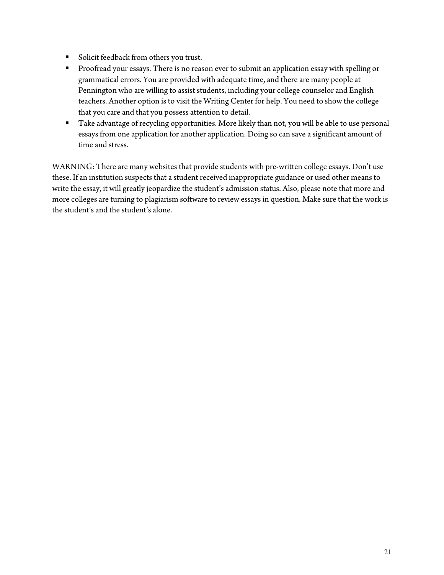- **Solicit feedback from others you trust.**
- **Proofread your essays. There is no reason ever to submit an application essay with spelling or** grammatical errors. You are provided with adequate time, and there are many people at Pennington who are willing to assist students, including your college counselor and English teachers. Another option is to visit the Writing Center for help. You need to show the college that you care and that you possess attention to detail.
- Take advantage of recycling opportunities. More likely than not, you will be able to use personal essays from one application for another application. Doing so can save a significant amount of time and stress.

WARNING: There are many websites that provide students with pre-written college essays. Don't use these. If an institution suspects that a student received inappropriate guidance or used other means to write the essay, it will greatly jeopardize the student's admission status. Also, please note that more and more colleges are turning to plagiarism software to review essays in question. Make sure that the work is the student's and the student's alone.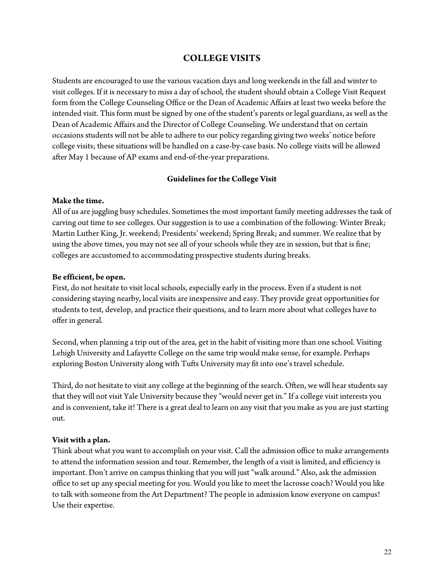# **COLLEGE VISITS**

Students are encouraged to use the various vacation days and long weekends in the fall and winter to visit colleges. If it is necessary to miss a day of school, the student should obtain a College Visit Request form from the College Counseling Office or the Dean of Academic Affairs at least two weeks before the intended visit. This form must be signed by one of the student's parents or legal guardians, as well as the Dean of Academic Affairs and the Director of College Counseling. We understand that on certain occasions students will not be able to adhere to our policy regarding giving two weeks' notice before college visits; these situations will be handled on a case-by-case basis. No college visits will be allowed after May 1 because of AP exams and end-of-the-year preparations.

### **Guidelines for the College Visit**

### **Make the time.**

All of us are juggling busy schedules. Sometimes the most important family meeting addresses the task of carving out time to see colleges. Our suggestion is to use a combination of the following: Winter Break; Martin Luther King, Jr. weekend; Presidents' weekend; Spring Break; and summer. We realize that by using the above times, you may not see all of your schools while they are in session, but that is fine; colleges are accustomed to accommodating prospective students during breaks.

#### **Be efficient, be open.**

First, do not hesitate to visit local schools, especially early in the process. Even if a student is not considering staying nearby, local visits are inexpensive and easy. They provide great opportunities for students to test, develop, and practice their questions, and to learn more about what colleges have to offer in general.

Second, when planning a trip out of the area, get in the habit of visiting more than one school. Visiting Lehigh University and Lafayette College on the same trip would make sense, for example. Perhaps exploring Boston University along with Tufts University may fit into one's travel schedule.

Third, do not hesitate to visit any college at the beginning of the search. Often, we will hear students say that they will not visit Yale University because they "would never get in." If a college visit interests you and is convenient, take it! There is a great deal to learn on any visit that you make as you are just starting out.

### **Visit with a plan.**

Think about what you want to accomplish on your visit. Call the admission office to make arrangements to attend the information session and tour. Remember, the length of a visit is limited, and efficiency is important. Don't arrive on campus thinking that you will just "walk around." Also, ask the admission office to set up any special meeting for you. Would you like to meet the lacrosse coach? Would you like to talk with someone from the Art Department? The people in admission know everyone on campus! Use their expertise.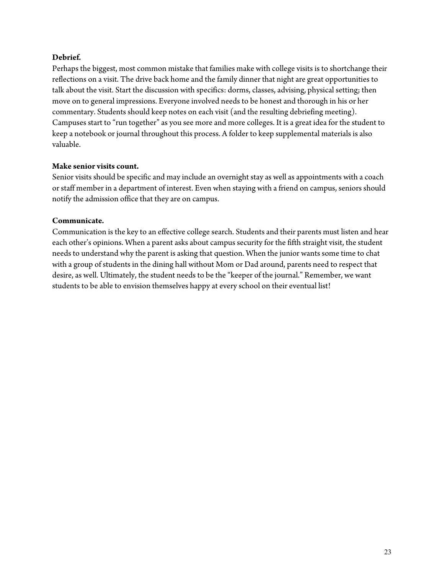### **Debrief***.*

Perhaps the biggest, most common mistake that families make with college visits is to shortchange their reflections on a visit. The drive back home and the family dinner that night are great opportunities to talk about the visit. Start the discussion with specifics: dorms, classes, advising, physical setting; then move on to general impressions. Everyone involved needs to be honest and thorough in his or her commentary. Students should keep notes on each visit (and the resulting debriefing meeting). Campuses start to "run together" as you see more and more colleges. It is a great idea for the student to keep a notebook or journal throughout this process. A folder to keep supplemental materials is also valuable.

### **Make senior visits count.**

Senior visits should be specific and may include an overnight stay as well as appointments with a coach or staff member in a department of interest. Even when staying with a friend on campus, seniors should notify the admission office that they are on campus.

### **Communicate***.*

Communication is the key to an effective college search. Students and their parents must listen and hear each other's opinions. When a parent asks about campus security for the fifth straight visit, the student needs to understand why the parent is asking that question. When the junior wants some time to chat with a group of students in the dining hall without Mom or Dad around, parents need to respect that desire, as well. Ultimately, the student needs to be the "keeper of the journal." Remember, we want students to be able to envision themselves happy at every school on their eventual list!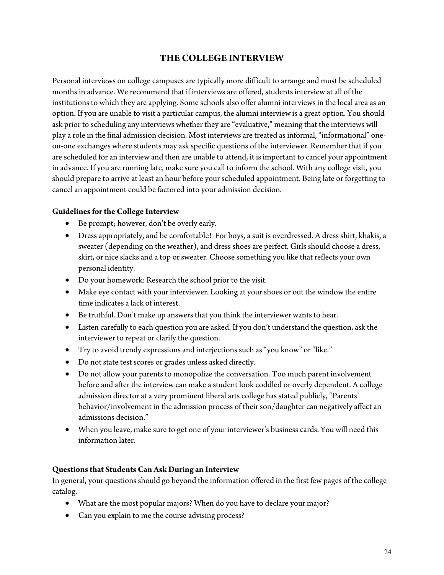# **THE COLLEGE INTERVIEW**

Personal interviews on college campuses are typically more difficult to arrange and must be scheduled months in advance. We recommend that if interviews are offered, students interview at all of the institutions to which they are applying. Some schools also offer alumni interviews in the local area as an option. If you are unable to visit a particular campus, the alumni interview is a great option. You should ask prior to scheduling any interviews whether they are "evaluative," meaning that the interviews will play a role in the final admission decision. Most interviews are treated as informal, "informational" oneon-one exchanges where students may ask specific questions of the interviewer. Remember that if you are scheduled for an interview and then are unable to attend, it is important to cancel your appointment in advance. If you are running late, make sure you call to inform the school. With any college visit, you should prepare to arrive at least an hour before your scheduled appointment. Being late or forgetting to cancel an appointment could be factored into your admission decision.

### **Guidelines for the College Interview**

- Be prompt; however, don't be overly early.
- Dress appropriately, and be comfortable! For boys, a suit is overdressed. A dress shirt, khakis, a sweater (depending on the weather), and dress shoes are perfect. Girls should choose a dress, skirt, or nice slacks and a top or sweater. Choose something you like that reflects your own personal identity.
- Do your homework: Research the school prior to the visit.
- Make eye contact with your interviewer. Looking at your shoes or out the window the entire time indicates a lack of interest.
- Be truthful. Don't make up answers that you think the interviewer wants to hear.
- Listen carefully to each question you are asked. If you don't understand the question, ask the interviewer to repeat or clarify the question.
- Try to avoid trendy expressions and interjections such as "you know" or "like."
- Do not state test scores or grades unless asked directly.
- Do not allow your parents to monopolize the conversation. Too much parent involvement before and after the interview can make a student look coddled or overly dependent. A college admission director at a very prominent liberal arts college has stated publicly, "Parents' behavior/involvement in the admission process of their son/daughter can negatively affect an admissions decision."
- When you leave, make sure to get one of your interviewer's business cards. You will need this information later.

### **Questions that Students Can Ask During an Interview**

In general, your questions should go beyond the information offered in the first few pages of the college catalog.

- What are the most popular majors? When do you have to declare your major?
- Can you explain to me the course advising process?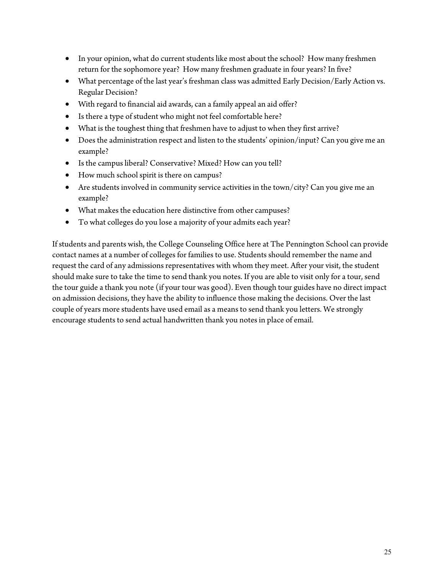- In your opinion, what do current students like most about the school? How many freshmen return for the sophomore year? How many freshmen graduate in four years? In five?
- What percentage of the last year's freshman class was admitted Early Decision/Early Action vs. Regular Decision?
- With regard to financial aid awards, can a family appeal an aid offer?
- Is there a type of student who might not feel comfortable here?
- What is the toughest thing that freshmen have to adjust to when they first arrive?
- Does the administration respect and listen to the students' opinion/input? Can you give me an example?
- Is the campus liberal? Conservative? Mixed? How can you tell?
- How much school spirit is there on campus?
- Are students involved in community service activities in the town/city? Can you give me an example?
- What makes the education here distinctive from other campuses?
- To what colleges do you lose a majority of your admits each year?

If students and parents wish, the College Counseling Office here at The Pennington School can provide contact names at a number of colleges for families to use. Students should remember the name and request the card of any admissions representatives with whom they meet. After your visit, the student should make sure to take the time to send thank you notes. If you are able to visit only for a tour, send the tour guide a thank you note (if your tour was good). Even though tour guides have no direct impact on admission decisions, they have the ability to influence those making the decisions. Over the last couple of years more students have used email as a means to send thank you letters. We strongly encourage students to send actual handwritten thank you notes in place of email.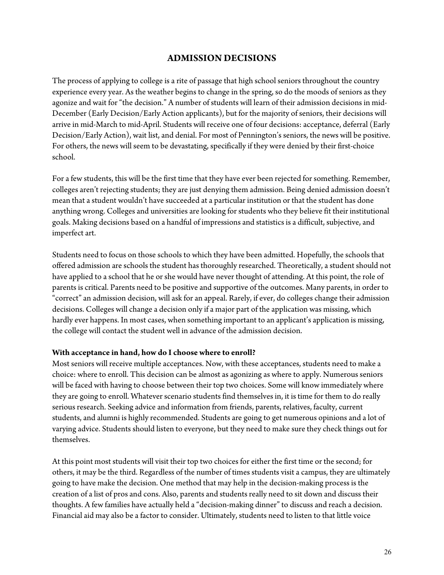# **ADMISSION DECISIONS**

The process of applying to college is a rite of passage that high school seniors throughout the country experience every year. As the weather begins to change in the spring, so do the moods of seniors as they agonize and wait for "the decision." A number of students will learn of their admission decisions in mid-December (Early Decision/Early Action applicants), but for the majority of seniors, their decisions will arrive in mid-March to mid-April. Students will receive one of four decisions: acceptance, deferral (Early Decision/Early Action), wait list, and denial. For most of Pennington's seniors, the news will be positive. For others, the news will seem to be devastating, specifically if they were denied by their first-choice school.

For a few students, this will be the first time that they have ever been rejected for something. Remember, colleges aren't rejecting students; they are just denying them admission. Being denied admission doesn't mean that a student wouldn't have succeeded at a particular institution or that the student has done anything wrong. Colleges and universities are looking for students who they believe fit their institutional goals. Making decisions based on a handful of impressions and statistics is a difficult, subjective, and imperfect art.

Students need to focus on those schools to which they have been admitted. Hopefully, the schools that offered admission are schools the student has thoroughly researched. Theoretically, a student should not have applied to a school that he or she would have never thought of attending. At this point, the role of parents is critical. Parents need to be positive and supportive of the outcomes. Many parents, in order to "correct" an admission decision, will ask for an appeal. Rarely, if ever, do colleges change their admission decisions. Colleges will change a decision only if a major part of the application was missing, which hardly ever happens. In most cases, when something important to an applicant's application is missing, the college will contact the student well in advance of the admission decision.

### **With acceptance in hand, how do I choose where to enroll?**

Most seniors will receive multiple acceptances. Now, with these acceptances, students need to make a choice: where to enroll. This decision can be almost as agonizing as where to apply. Numerous seniors will be faced with having to choose between their top two choices. Some will know immediately where they are going to enroll. Whatever scenario students find themselves in, it is time for them to do really serious research. Seeking advice and information from friends, parents, relatives, faculty, current students, and alumni is highly recommended. Students are going to get numerous opinions and a lot of varying advice. Students should listen to everyone, but they need to make sure they check things out for themselves.

At this point most students will visit their top two choices for either the first time or the second; for others, it may be the third. Regardless of the number of times students visit a campus, they are ultimately going to have make the decision. One method that may help in the decision-making process is the creation of a list of pros and cons. Also, parents and students really need to sit down and discuss their thoughts. A few families have actually held a "decision-making dinner" to discuss and reach a decision. Financial aid may also be a factor to consider. Ultimately, students need to listen to that little voice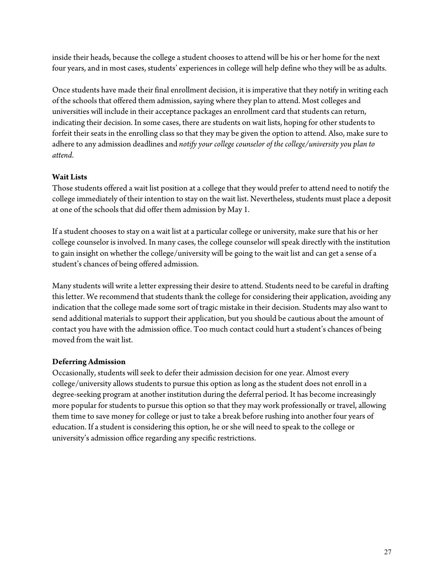inside their heads, because the college a student chooses to attend will be his or her home for the next four years, and in most cases, students' experiences in college will help define who they will be as adults.

Once students have made their final enrollment decision, it is imperative that they notify in writing each of the schools that offered them admission, saying where they plan to attend. Most colleges and universities will include in their acceptance packages an enrollment card that students can return, indicating their decision. In some cases, there are students on wait lists, hoping for other students to forfeit their seats in the enrolling class so that they may be given the option to attend. Also, make sure to adhere to any admission deadlines and *notify your college counselor of the college/university you plan to attend*.

## **Wait Lists**

Those students offered a wait list position at a college that they would prefer to attend need to notify the college immediately of their intention to stay on the wait list. Nevertheless, students must place a deposit at one of the schools that did offer them admission by May 1.

If a student chooses to stay on a wait list at a particular college or university, make sure that his or her college counselor is involved. In many cases, the college counselor will speak directly with the institution to gain insight on whether the college/university will be going to the wait list and can get a sense of a student's chances of being offered admission.

Many students will write a letter expressing their desire to attend. Students need to be careful in drafting this letter. We recommend that students thank the college for considering their application, avoiding any indication that the college made some sort of tragic mistake in their decision. Students may also want to send additional materials to support their application, but you should be cautious about the amount of contact you have with the admission office. Too much contact could hurt a student's chances of being moved from the wait list.

## **Deferring Admission**

Occasionally, students will seek to defer their admission decision for one year. Almost every college/university allows students to pursue this option as long as the student does not enroll in a degree-seeking program at another institution during the deferral period. It has become increasingly more popular for students to pursue this option so that they may work professionally or travel, allowing them time to save money for college or just to take a break before rushing into another four years of education. If a student is considering this option, he or she will need to speak to the college or university's admission office regarding any specific restrictions.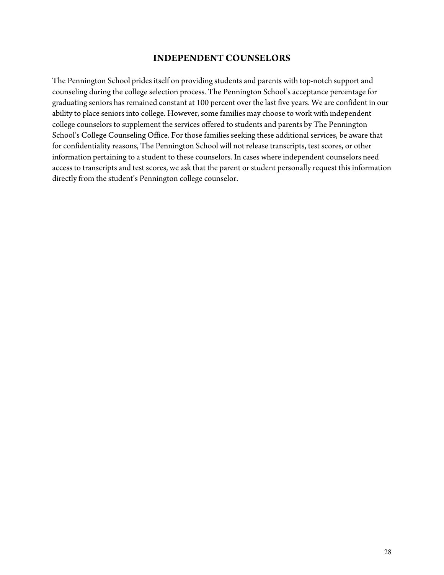### **INDEPENDENT COUNSELORS**

The Pennington School prides itself on providing students and parents with top-notch support and counseling during the college selection process. The Pennington School's acceptance percentage for graduating seniors has remained constant at 100 percent over the last five years. We are confident in our ability to place seniors into college. However, some families may choose to work with independent college counselors to supplement the services offered to students and parents by The Pennington School's College Counseling Office. For those families seeking these additional services, be aware that for confidentiality reasons, The Pennington School will not release transcripts, test scores, or other information pertaining to a student to these counselors. In cases where independent counselors need access to transcripts and test scores, we ask that the parent or student personally request this information directly from the student's Pennington college counselor.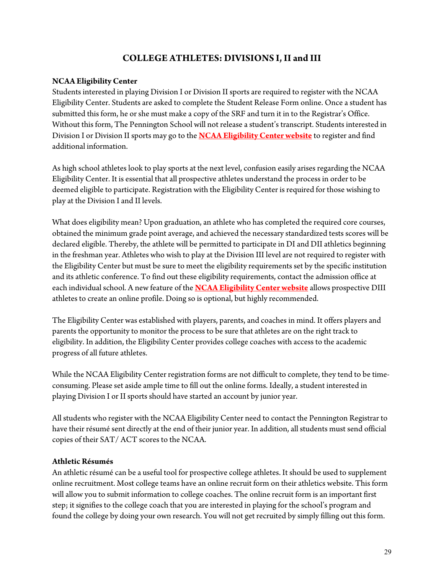# **COLLEGE ATHLETES: DIVISIONS I, II and III**

### **NCAA Eligibility Center**

Students interested in playing Division I or Division II sports are required to register with the NCAA Eligibility Center. Students are asked to complete the Student Release Form online. Once a student has submitted this form, he or she must make a copy of the SRF and turn it in to the Registrar's Office. Without this form, The Pennington School will not release a student's transcript. Students interested in Division I or Division II sports may go to the **[NCAA Eligibility Center website](https://web3.ncaa.org/ecwr3)** to register and find additional information.

As high school athletes look to play sports at the next level, confusion easily arises regarding the NCAA Eligibility Center. It is essential that all prospective athletes understand the process in order to be deemed eligible to participate. Registration with the Eligibility Center is required for those wishing to play at the Division I and II levels.

What does eligibility mean? Upon graduation, an athlete who has completed the required core courses, obtained the minimum grade point average, and achieved the necessary standardized tests scores will be declared eligible. Thereby, the athlete will be permitted to participate in DI and DII athletics beginning in the freshman year. Athletes who wish to play at the Division III level are not required to register with the Eligibility Center but must be sure to meet the eligibility requirements set by the specific institution and its athletic conference. To find out these eligibility requirements, contact the admission office at each individual school. A new feature of the **[NCAA Eligibility Center website](https://web3.ncaa.org/ecwr3)** allows prospective DIII athletes to create an online profile. Doing so is optional, but highly recommended.

The Eligibility Center was established with players, parents, and coaches in mind. It offers players and parents the opportunity to monitor the process to be sure that athletes are on the right track to eligibility. In addition, the Eligibility Center provides college coaches with access to the academic progress of all future athletes.

While the NCAA Eligibility Center registration forms are not difficult to complete, they tend to be timeconsuming. Please set aside ample time to fill out the online forms. Ideally, a student interested in playing Division I or II sports should have started an account by junior year.

All students who register with the NCAA Eligibility Center need to contact the Pennington Registrar to have their résumé sent directly at the end of their junior year. In addition, all students must send official copies of their SAT/ ACT scores to the NCAA.

### **Athletic Résumés**

An athletic résumé can be a useful tool for prospective college athletes. It should be used to supplement online recruitment. Most college teams have an online recruit form on their athletics website. This form will allow you to submit information to college coaches. The online recruit form is an important first step; it signifies to the college coach that you are interested in playing for the school's program and found the college by doing your own research. You will not get recruited by simply filling out this form.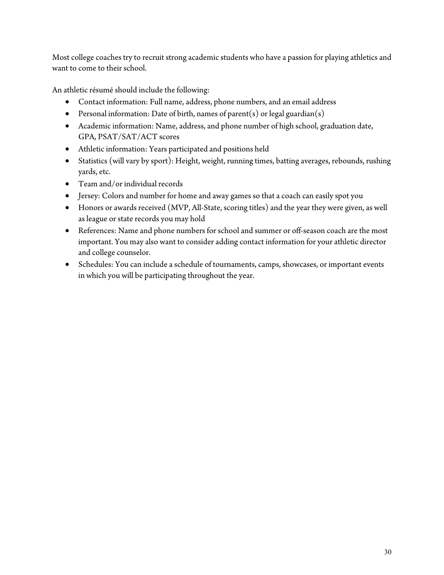Most college coaches try to recruit strong academic students who have a passion for playing athletics and want to come to their school.

An athletic résumé should include the following:

- Contact information: Full name, address, phone numbers, and an email address
- Personal information: Date of birth, names of parent(s) or legal guardian(s)
- Academic information: Name, address, and phone number of high school, graduation date, GPA, PSAT/SAT/ACT scores
- Athletic information: Years participated and positions held
- Statistics (will vary by sport): Height, weight, running times, batting averages, rebounds, rushing yards, etc.
- Team and/or individual records
- Jersey: Colors and number for home and away games so that a coach can easily spot you
- Honors or awards received (MVP, All-State, scoring titles) and the year they were given, as well as league or state records you may hold
- References: Name and phone numbers for school and summer or off-season coach are the most important. You may also want to consider adding contact information for your athletic director and college counselor.
- Schedules: You can include a schedule of tournaments, camps, showcases, or important events in which you will be participating throughout the year.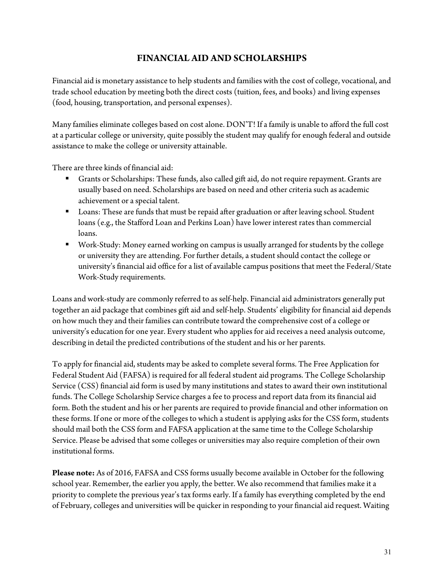# **FINANCIAL AID AND SCHOLARSHIPS**

Financial aid is monetary assistance to help students and families with the cost of college, vocational, and trade school education by meeting both the direct costs (tuition, fees, and books) and living expenses (food, housing, transportation, and personal expenses).

Many families eliminate colleges based on cost alone. DON'T! If a family is unable to afford the full cost at a particular college or university, quite possibly the student may qualify for enough federal and outside assistance to make the college or university attainable.

There are three kinds of financial aid:

- Grants or Scholarships: These funds, also called gift aid, do not require repayment. Grants are usually based on need. Scholarships are based on need and other criteria such as academic achievement or a special talent.
- **Loans:** These are funds that must be repaid after graduation or after leaving school. Student loans (e.g., the Stafford Loan and Perkins Loan) have lower interest rates than commercial loans.
- Work-Study: Money earned working on campus is usually arranged for students by the college or university they are attending. For further details, a student should contact the college or university's financial aid office for a list of available campus positions that meet the Federal/State Work-Study requirements.

Loans and work-study are commonly referred to as self-help. Financial aid administrators generally put together an aid package that combines gift aid and self-help. Students' eligibility for financial aid depends on how much they and their families can contribute toward the comprehensive cost of a college or university's education for one year. Every student who applies for aid receives a need analysis outcome, describing in detail the predicted contributions of the student and his or her parents.

To apply for financial aid, students may be asked to complete several forms. The Free Application for Federal Student Aid (FAFSA) is required for all federal student aid programs. The College Scholarship Service (CSS) financial aid form is used by many institutions and states to award their own institutional funds. The College Scholarship Service charges a fee to process and report data from its financial aid form. Both the student and his or her parents are required to provide financial and other information on these forms. If one or more of the colleges to which a student is applying asks for the CSS form, students should mail both the CSS form and FAFSA application at the same time to the College Scholarship Service. Please be advised that some colleges or universities may also require completion of their own institutional forms.

**Please note:** As of 2016, FAFSA and CSS forms usually become available in October for the following school year. Remember, the earlier you apply, the better. We also recommend that families make it a priority to complete the previous year's tax forms early. If a family has everything completed by the end of February, colleges and universities will be quicker in responding to your financial aid request. Waiting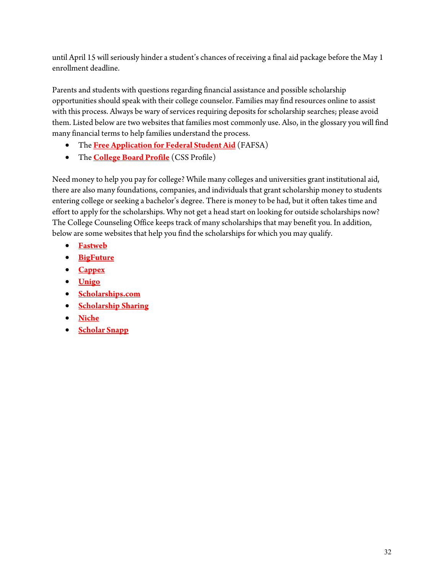until April 15 will seriously hinder a student's chances of receiving a final aid package before the May 1 enrollment deadline.

Parents and students with questions regarding financial assistance and possible scholarship opportunities should speak with their college counselor. Families may find resources online to assist with this process. Always be wary of services requiring deposits for scholarship searches; please avoid them. Listed below are two websites that families most commonly use. Also, in the glossary you will find many financial terms to help families understand the process.

- The **[Free Application for Federal Student Aid](http://www.fafsa.ed.gov/)** (FAFSA)
- The **[College Board Profile](https://cssprofile.collegeboard.org/)** (CSS Profile)

Need money to help you pay for college? While many colleges and universities grant institutional aid, there are also many foundations, companies, and individuals that grant scholarship money to students entering college or seeking a bachelor's degree. There is money to be had, but it often takes time and effort to apply for the scholarships. Why not get a head start on looking for outside scholarships now? The College Counseling Office keeps track of many scholarships that may benefit you. In addition, below are some websites that help you find the scholarships for which you may qualify.

- **[Fastweb](https://www.fastweb.com/college-scholarships)**
- **[BigFuture](https://bigfuture.collegeboard.org/scholarship-search)**
- **[Cappex](https://www.cappex.com/scholarships)**
- **[Unigo](https://www.unigo.com/scholarships/our-scholarships)**
- **[Scholarships.com](https://www.scholarships.com/)**
- **[Scholarship Sharing](https://www.scholarshipsharing.org/scholarshipdatabase)**
- **[Niche](https://www.niche.com/colleges/scholarships/)**
- **[Scholar Snapp](https://www.scholarsnapp.org/)**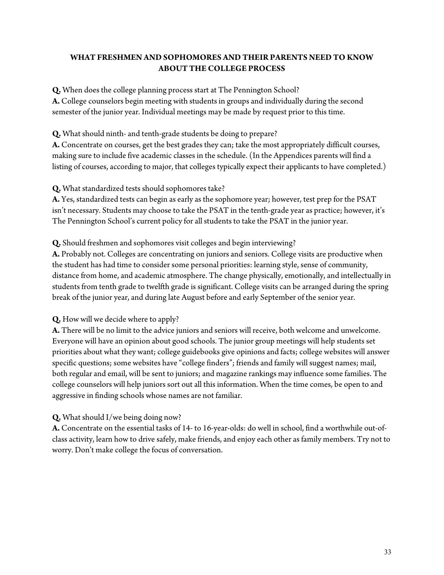# **WHAT FRESHMEN AND SOPHOMORES AND THEIR PARENTS NEED TO KNOW ABOUT THE COLLEGE PROCESS**

**Q.** When does the college planning process start at The Pennington School?

**A.** College counselors begin meeting with students in groups and individually during the second semester of the junior year. Individual meetings may be made by request prior to this time.

**Q.** What should ninth- and tenth-grade students be doing to prepare?

**A.** Concentrate on courses, get the best grades they can; take the most appropriately difficult courses, making sure to include five academic classes in the schedule. (In the Appendices parents will find a listing of courses, according to major, that colleges typically expect their applicants to have completed.)

**Q.** What standardized tests should sophomores take?

**A.** Yes, standardized tests can begin as early as the sophomore year; however, test prep for the PSAT isn't necessary. Students may choose to take the PSAT in the tenth-grade year as practice; however, it's The Pennington School's current policy for all students to take the PSAT in the junior year.

# **Q.** Should freshmen and sophomores visit colleges and begin interviewing?

**A.** Probably not. Colleges are concentrating on juniors and seniors. College visits are productive when the student has had time to consider some personal priorities: learning style, sense of community, distance from home, and academic atmosphere. The change physically, emotionally, and intellectually in students from tenth grade to twelfth grade is significant. College visits can be arranged during the spring break of the junior year, and during late August before and early September of the senior year.

## **Q.** How will we decide where to apply?

**A.** There will be no limit to the advice juniors and seniors will receive, both welcome and unwelcome. Everyone will have an opinion about good schools. The junior group meetings will help students set priorities about what they want; college guidebooks give opinions and facts; college websites will answer specific questions; some websites have "college finders"; friends and family will suggest names; mail, both regular and email, will be sent to juniors; and magazine rankings may influence some families. The college counselors will help juniors sort out all this information. When the time comes, be open to and aggressive in finding schools whose names are not familiar.

# **Q.** What should I/we being doing now?

**A.** Concentrate on the essential tasks of 14- to 16-year-olds: do well in school, find a worthwhile out-ofclass activity, learn how to drive safely, make friends, and enjoy each other as family members. Try not to worry. Don't make college the focus of conversation.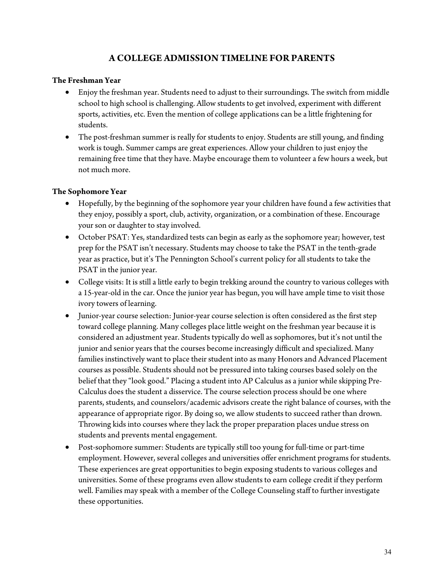# **A COLLEGE ADMISSION TIMELINE FOR PARENTS**

### **The Freshman Year**

- Enjoy the freshman year. Students need to adjust to their surroundings. The switch from middle school to high school is challenging. Allow students to get involved, experiment with different sports, activities, etc. Even the mention of college applications can be a little frightening for students.
- The post-freshman summer is really for students to enjoy. Students are still young, and finding work is tough. Summer camps are great experiences. Allow your children to just enjoy the remaining free time that they have. Maybe encourage them to volunteer a few hours a week, but not much more.

### **The Sophomore Year**

- Hopefully, by the beginning of the sophomore year your children have found a few activities that they enjoy, possibly a sport, club, activity, organization, or a combination of these. Encourage your son or daughter to stay involved.
- October PSAT: Yes, standardized tests can begin as early as the sophomore year; however, test prep for the PSAT isn't necessary. Students may choose to take the PSAT in the tenth-grade year as practice, but it's The Pennington School's current policy for all students to take the PSAT in the junior year.
- College visits: It is still a little early to begin trekking around the country to various colleges with a 15-year-old in the car. Once the junior year has begun, you will have ample time to visit those ivory towers of learning.
- Junior-year course selection: Junior-year course selection is often considered as the first step toward college planning. Many colleges place little weight on the freshman year because it is considered an adjustment year. Students typically do well as sophomores, but it's not until the junior and senior years that the courses become increasingly difficult and specialized. Many families instinctively want to place their student into as many Honors and Advanced Placement courses as possible. Students should not be pressured into taking courses based solely on the belief that they "look good." Placing a student into AP Calculus as a junior while skipping Pre-Calculus does the student a disservice. The course selection process should be one where parents, students, and counselors/academic advisors create the right balance of courses, with the appearance of appropriate rigor. By doing so, we allow students to succeed rather than drown. Throwing kids into courses where they lack the proper preparation places undue stress on students and prevents mental engagement.
- Post-sophomore summer: Students are typically still too young for full-time or part-time employment. However, several colleges and universities offer enrichment programs for students. These experiences are great opportunities to begin exposing students to various colleges and universities. Some of these programs even allow students to earn college credit if they perform well. Families may speak with a member of the College Counseling staff to further investigate these opportunities.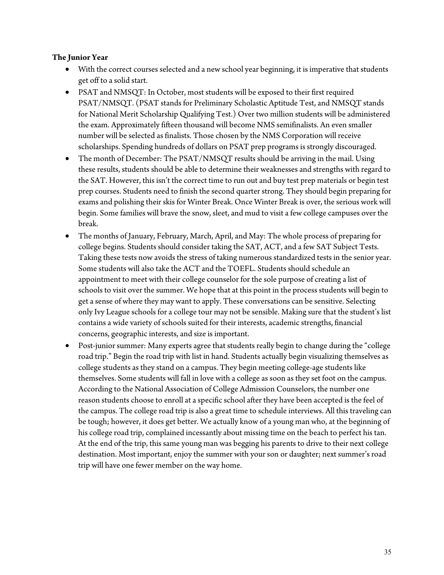### **The Junior Year**

- With the correct courses selected and a new school year beginning, it is imperative that students get off to a solid start.
- PSAT and NMSQT: In October, most students will be exposed to their first required PSAT/NMSQT. (PSAT stands for Preliminary Scholastic Aptitude Test, and NMSQT stands for National Merit Scholarship Qualifying Test.) Over two million students will be administered the exam. Approximately fifteen thousand will become NMS semifinalists. An even smaller number will be selected as finalists. Those chosen by the NMS Corporation will receive scholarships. Spending hundreds of dollars on PSAT prep programs is strongly discouraged.
- The month of December: The PSAT/NMSQT results should be arriving in the mail. Using these results, students should be able to determine their weaknesses and strengths with regard to the SAT. However, this isn't the correct time to run out and buy test prep materials or begin test prep courses. Students need to finish the second quarter strong. They should begin preparing for exams and polishing their skis for Winter Break. Once Winter Break is over, the serious work will begin. Some families will brave the snow, sleet, and mud to visit a few college campuses over the break.
- The months of January, February, March, April, and May: The whole process of preparing for college begins. Students should consider taking the SAT, ACT, and a few SAT Subject Tests. Taking these tests now avoids the stress of taking numerous standardized tests in the senior year. Some students will also take the ACT and the TOEFL. Students should schedule an appointment to meet with their college counselor for the sole purpose of creating a list of schools to visit over the summer. We hope that at this point in the process students will begin to get a sense of where they may want to apply. These conversations can be sensitive. Selecting only Ivy League schools for a college tour may not be sensible. Making sure that the student's list contains a wide variety of schools suited for their interests, academic strengths, financial concerns, geographic interests, and size is important.
- Post-junior summer: Many experts agree that students really begin to change during the "college road trip." Begin the road trip with list in hand. Students actually begin visualizing themselves as college students as they stand on a campus. They begin meeting college-age students like themselves. Some students will fall in love with a college as soon as they set foot on the campus. According to the National Association of College Admission Counselors, the number one reason students choose to enroll at a specific school after they have been accepted is the feel of the campus. The college road trip is also a great time to schedule interviews. All this traveling can be tough; however, it does get better. We actually know of a young man who, at the beginning of his college road trip, complained incessantly about missing time on the beach to perfect his tan. At the end of the trip, this same young man was begging his parents to drive to their next college destination. Most important, enjoy the summer with your son or daughter; next summer's road trip will have one fewer member on the way home.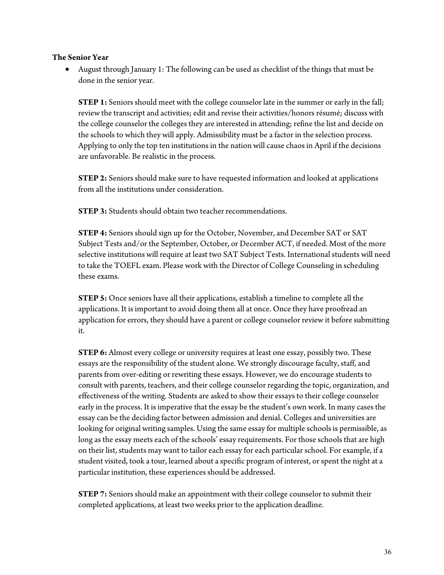### **The Senior Year**

• August through January 1: The following can be used as checklist of the things that must be done in the senior year.

**STEP 1:** Seniors should meet with the college counselor late in the summer or early in the fall; review the transcript and activities; edit and revise their activities/honors résumé; discuss with the college counselor the colleges they are interested in attending; refine the list and decide on the schools to which they will apply. Admissibility must be a factor in the selection process. Applying to only the top ten institutions in the nation will cause chaos in April if the decisions are unfavorable. Be realistic in the process.

**STEP 2:** Seniors should make sure to have requested information and looked at applications from all the institutions under consideration.

**STEP 3:** Students should obtain two teacher recommendations.

**STEP 4:** Seniors should sign up for the October, November, and December SAT or SAT Subject Tests and/or the September, October, or December ACT, if needed. Most of the more selective institutions will require at least two SAT Subject Tests. International students will need to take the TOEFL exam. Please work with the Director of College Counseling in scheduling these exams.

**STEP 5:** Once seniors have all their applications, establish a timeline to complete all the applications. It is important to avoid doing them all at once. Once they have proofread an application for errors, they should have a parent or college counselor review it before submitting it.

**STEP 6:** Almost every college or university requires at least one essay, possibly two. These essays are the responsibility of the student alone. We strongly discourage faculty, staff, and parents from over-editing or rewriting these essays. However, we do encourage students to consult with parents, teachers, and their college counselor regarding the topic, organization, and effectiveness of the writing. Students are asked to show their essays to their college counselor early in the process. It is imperative that the essay be the student's own work. In many cases the essay can be the deciding factor between admission and denial. Colleges and universities are looking for original writing samples. Using the same essay for multiple schools is permissible, as long as the essay meets each of the schools' essay requirements. For those schools that are high on their list, students may want to tailor each essay for each particular school. For example, if a student visited, took a tour, learned about a specific program of interest, or spent the night at a particular institution, these experiences should be addressed.

**STEP 7:** Seniors should make an appointment with their college counselor to submit their completed applications, at least two weeks prior to the application deadline.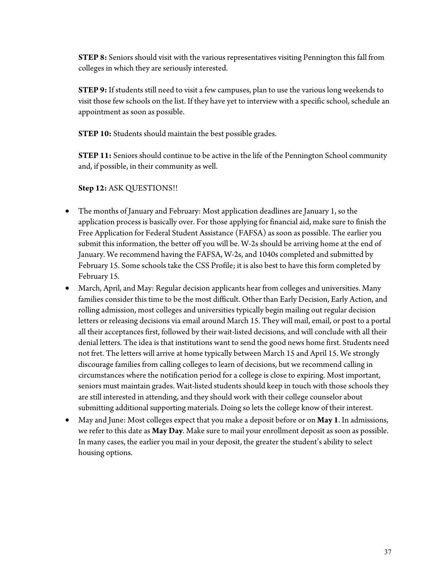**STEP 8:** Seniors should visit with the various representatives visiting Pennington this fall from colleges in which they are seriously interested.

**STEP 9:** If students still need to visit a few campuses, plan to use the various long weekends to visit those few schools on the list. If they have yet to interview with a specific school, schedule an appointment as soon as possible.

**STEP 10:** Students should maintain the best possible grades.

**STEP 11:** Seniors should continue to be active in the life of the Pennington School community and, if possible, in their community as well.

## **Step 12:** ASK QUESTIONS!!

- The months of January and February: Most application deadlines are January 1, so the application process is basically over. For those applying for financial aid, make sure to finish the Free Application for Federal Student Assistance (FAFSA) as soon as possible. The earlier you submit this information, the better off you will be. W-2s should be arriving home at the end of January. We recommend having the FAFSA, W-2s, and 1040s completed and submitted by February 15. Some schools take the CSS Profile; it is also best to have this form completed by February 15.
- March, April, and May: Regular decision applicants hear from colleges and universities. Many families consider this time to be the most difficult. Other than Early Decision, Early Action, and rolling admission, most colleges and universities typically begin mailing out regular decision letters or releasing decisions via email around March 15. They will mail, email, or post to a portal all their acceptances first, followed by their wait-listed decisions, and will conclude with all their denial letters. The idea is that institutions want to send the good news home first. Students need not fret. The letters will arrive at home typically between March 15 and April 15. We strongly discourage families from calling colleges to learn of decisions, but we recommend calling in circumstances where the notification period for a college is close to expiring. Most important, seniors must maintain grades. Wait-listed students should keep in touch with those schools they are still interested in attending, and they should work with their college counselor about submitting additional supporting materials. Doing so lets the college know of their interest.
- May and June: Most colleges expect that you make a deposit before or on **May 1**. In admissions, we refer to this date as **May Day**. Make sure to mail your enrollment deposit as soon as possible. In many cases, the earlier you mail in your deposit, the greater the student's ability to select housing options.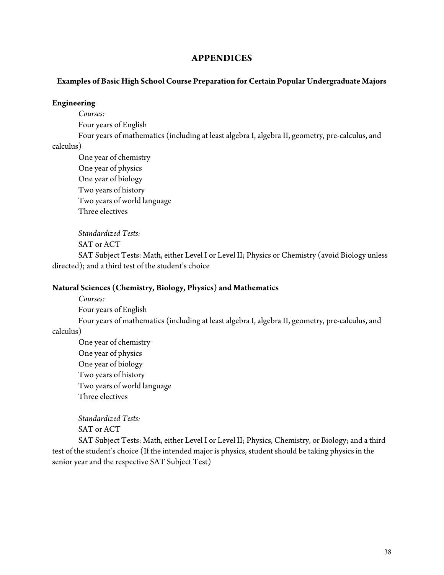### **APPENDICES**

### **Examples of Basic High School Course Preparation for Certain Popular Undergraduate Majors**

#### **Engineering**

*Courses:* 

Four years of English

Four years of mathematics (including at least algebra I, algebra II, geometry, pre-calculus, and

### calculus)

One year of chemistry One year of physics One year of biology Two years of history Two years of world language Three electives

*Standardized Tests:* 

SAT or ACT

SAT Subject Tests: Math, either Level I or Level II; Physics or Chemistry (avoid Biology unless directed); and a third test of the student's choice

### **Natural Sciences (Chemistry, Biology, Physics) and Mathematics**

*Courses:* 

Four years of English

Four years of mathematics (including at least algebra I, algebra II, geometry, pre-calculus, and calculus)

One year of chemistry One year of physics One year of biology Two years of history Two years of world language Three electives

*Standardized Tests:*  SAT or ACT

SAT Subject Tests: Math, either Level I or Level II; Physics, Chemistry, or Biology; and a third test of the student's choice (If the intended major is physics, student should be taking physics in the senior year and the respective SAT Subject Test)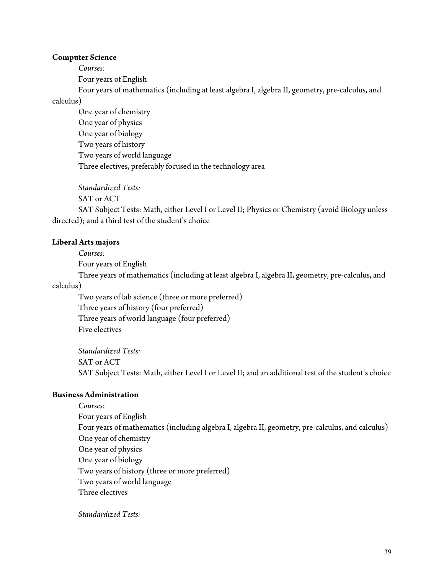#### **Computer Science**

*Courses:*

Four years of English

Four years of mathematics (including at least algebra I, algebra II, geometry, pre-calculus, and calculus)

One year of chemistry One year of physics One year of biology Two years of history Two years of world language Three electives, preferably focused in the technology area

*Standardized Tests:*  SAT or ACT SAT Subject Tests: Math, either Level I or Level II; Physics or Chemistry (avoid Biology unless directed); and a third test of the student's choice

#### **Liberal Arts majors**

*Courses:*

Four years of English

Three years of mathematics (including at least algebra I, algebra II, geometry, pre-calculus, and

calculus)

Two years of lab science (three or more preferred) Three years of history (four preferred) Three years of world language (four preferred) Five electives

*Standardized Tests:*  SAT or ACT SAT Subject Tests: Math, either Level I or Level II; and an additional test of the student's choice

### **Business Administration**

*Courses:* Four years of English Four years of mathematics (including algebra I, algebra II, geometry, pre-calculus, and calculus) One year of chemistry One year of physics One year of biology Two years of history (three or more preferred) Two years of world language Three electives

*Standardized Tests:*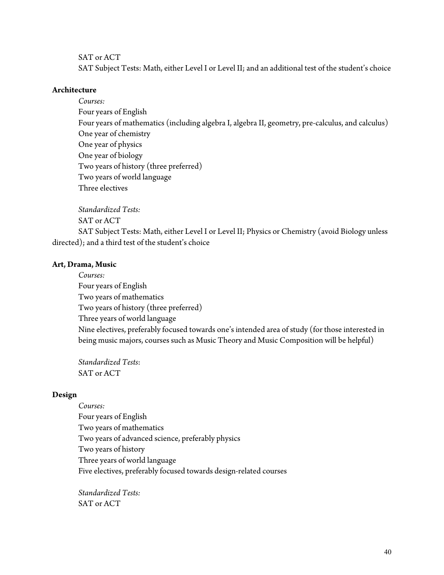### SAT or ACT

SAT Subject Tests: Math, either Level I or Level II; and an additional test of the student's choice

#### **Architecture**

*Courses:*  Four years of English Four years of mathematics (including algebra I, algebra II, geometry, pre-calculus, and calculus) One year of chemistry One year of physics One year of biology Two years of history (three preferred) Two years of world language Three electives

*Standardized Tests:*

SAT or ACT

SAT Subject Tests: Math, either Level I or Level II; Physics or Chemistry (avoid Biology unless directed); and a third test of the student's choice

### **Art, Drama, Music**

*Courses:*  Four years of English Two years of mathematics Two years of history (three preferred) Three years of world language Nine electives, preferably focused towards one's intended area of study (for those interested in being music majors, courses such as Music Theory and Music Composition will be helpful)

*Standardized Tests*: SAT or ACT

#### **Design**

*Courses:* Four years of English Two years of mathematics Two years of advanced science, preferably physics Two years of history Three years of world language Five electives, preferably focused towards design-related courses

*Standardized Tests:*  SAT or ACT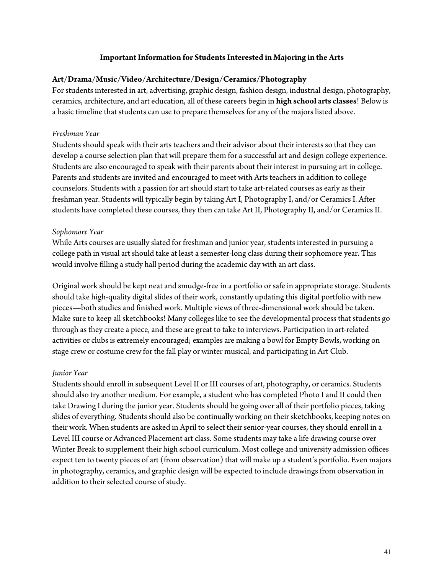### **Important Information for Students Interested in Majoring in the Arts**

### **Art/Drama/Music/Video/Architecture/Design/Ceramics/Photography**

For students interested in art, advertising, graphic design, fashion design, industrial design, photography, ceramics, architecture, and art education, all of these careers begin in **high school arts classes**! Below is a basic timeline that students can use to prepare themselves for any of the majors listed above.

### *Freshman Year*

Students should speak with their arts teachers and their advisor about their interests so that they can develop a course selection plan that will prepare them for a successful art and design college experience. Students are also encouraged to speak with their parents about their interest in pursuing art in college. Parents and students are invited and encouraged to meet with Arts teachers in addition to college counselors. Students with a passion for art should start to take art-related courses as early as their freshman year. Students will typically begin by taking Art I, Photography I, and/or Ceramics I. After students have completed these courses, they then can take Art II, Photography II, and/or Ceramics II.

### *Sophomore Year*

While Arts courses are usually slated for freshman and junior year, students interested in pursuing a college path in visual art should take at least a semester-long class during their sophomore year. This would involve filling a study hall period during the academic day with an art class.

Original work should be kept neat and smudge-free in a portfolio or safe in appropriate storage. Students should take high-quality digital slides of their work, constantly updating this digital portfolio with new pieces—both studies and finished work. Multiple views of three-dimensional work should be taken. Make sure to keep all sketchbooks! Many colleges like to see the developmental process that students go through as they create a piece, and these are great to take to interviews. Participation in art-related activities or clubs is extremely encouraged; examples are making a bowl for Empty Bowls, working on stage crew or costume crew for the fall play or winter musical, and participating in Art Club.

### *Junior Year*

Students should enroll in subsequent Level II or III courses of art, photography, or ceramics. Students should also try another medium. For example, a student who has completed Photo I and II could then take Drawing I during the junior year. Students should be going over all of their portfolio pieces, taking slides of everything. Students should also be continually working on their sketchbooks, keeping notes on their work. When students are asked in April to select their senior-year courses, they should enroll in a Level III course or Advanced Placement art class. Some students may take a life drawing course over Winter Break to supplement their high school curriculum. Most college and university admission offices expect ten to twenty pieces of art (from observation) that will make up a student's portfolio. Even majors in photography, ceramics, and graphic design will be expected to include drawings from observation in addition to their selected course of study.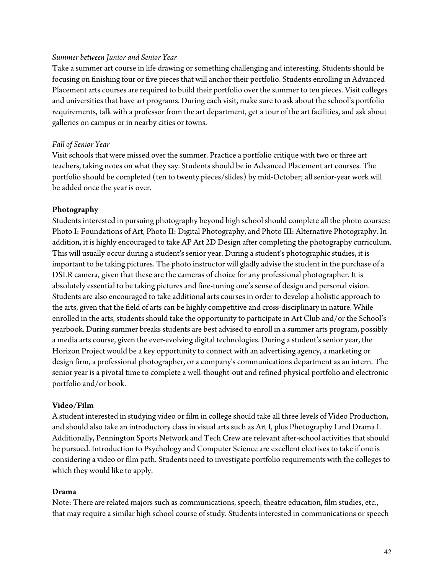#### *Summer between Junior and Senior Year*

Take a summer art course in life drawing or something challenging and interesting. Students should be focusing on finishing four or five pieces that will anchor their portfolio. Students enrolling in Advanced Placement arts courses are required to build their portfolio over the summer to ten pieces. Visit colleges and universities that have art programs. During each visit, make sure to ask about the school's portfolio requirements, talk with a professor from the art department, get a tour of the art facilities, and ask about galleries on campus or in nearby cities or towns.

#### *Fall of Senior Year*

Visit schools that were missed over the summer. Practice a portfolio critique with two or three art teachers, taking notes on what they say. Students should be in Advanced Placement art courses. The portfolio should be completed (ten to twenty pieces/slides) by mid-October; all senior-year work will be added once the year is over.

#### **Photography**

Students interested in pursuing photography beyond high school should complete all the photo courses: Photo I: Foundations of Art, Photo II: Digital Photography, and Photo III: Alternative Photography. In addition, it is highly encouraged to take AP Art 2D Design after completing the photography curriculum. This will usually occur during a student's senior year. During a student's photographic studies, it is important to be taking pictures. The photo instructor will gladly advise the student in the purchase of a DSLR camera, given that these are the cameras of choice for any professional photographer. It is absolutely essential to be taking pictures and fine-tuning one's sense of design and personal vision. Students are also encouraged to take additional arts courses in order to develop a holistic approach to the arts, given that the field of arts can be highly competitive and cross-disciplinary in nature. While enrolled in the arts, students should take the opportunity to participate in Art Club and/or the School's yearbook. During summer breaks students are best advised to enroll in a summer arts program, possibly a media arts course, given the ever-evolving digital technologies. During a student's senior year, the Horizon Project would be a key opportunity to connect with an advertising agency, a marketing or design firm, a professional photographer, or a company's communications department as an intern. The senior year is a pivotal time to complete a well-thought-out and refined physical portfolio and electronic portfolio and/or book.

#### **Video/Film**

A student interested in studying video or film in college should take all three levels of Video Production, and should also take an introductory class in visual arts such as Art I, plus Photography I and Drama I. Additionally, Pennington Sports Network and Tech Crew are relevant after-school activities that should be pursued. Introduction to Psychology and Computer Science are excellent electives to take if one is considering a video or film path. Students need to investigate portfolio requirements with the colleges to which they would like to apply.

### **Drama**

Note: There are related majors such as communications, speech, theatre education, film studies, etc., that may require a similar high school course of study. Students interested in communications or speech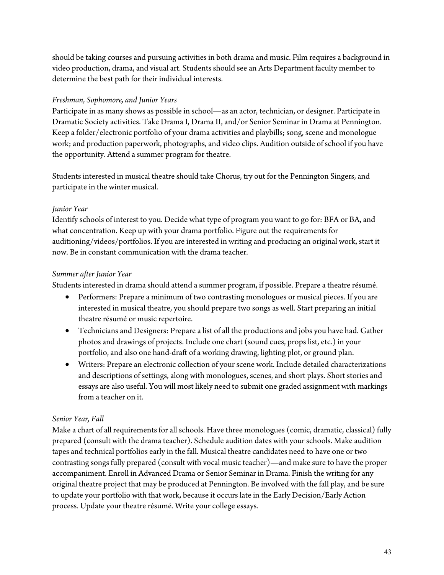should be taking courses and pursuing activities in both drama and music. Film requires a background in video production, drama, and visual art. Students should see an Arts Department faculty member to determine the best path for their individual interests.

# *Freshman, Sophomore, and Junior Years*

Participate in as many shows as possible in school—as an actor, technician, or designer. Participate in Dramatic Society activities. Take Drama I, Drama II, and/or Senior Seminar in Drama at Pennington. Keep a folder/electronic portfolio of your drama activities and playbills; song, scene and monologue work; and production paperwork, photographs, and video clips. Audition outside of school if you have the opportunity. Attend a summer program for theatre.

Students interested in musical theatre should take Chorus, try out for the Pennington Singers, and participate in the winter musical.

# *Junior Year*

Identify schools of interest to you. Decide what type of program you want to go for: BFA or BA, and what concentration. Keep up with your drama portfolio. Figure out the requirements for auditioning/videos/portfolios. If you are interested in writing and producing an original work, start it now. Be in constant communication with the drama teacher.

# *Summer after Junior Year*

Students interested in drama should attend a summer program, if possible. Prepare a theatre résumé.

- Performers: Prepare a minimum of two contrasting monologues or musical pieces. If you are interested in musical theatre, you should prepare two songs as well. Start preparing an initial theatre résumé or music repertoire.
- Technicians and Designers: Prepare a list of all the productions and jobs you have had. Gather photos and drawings of projects. Include one chart (sound cues, props list, etc.) in your portfolio, and also one hand-draft of a working drawing, lighting plot, or ground plan.
- Writers: Prepare an electronic collection of your scene work. Include detailed characterizations and descriptions of settings, along with monologues, scenes, and short plays. Short stories and essays are also useful. You will most likely need to submit one graded assignment with markings from a teacher on it.

# *Senior Year, Fall*

Make a chart of all requirements for all schools. Have three monologues (comic, dramatic, classical) fully prepared (consult with the drama teacher). Schedule audition dates with your schools. Make audition tapes and technical portfolios early in the fall. Musical theatre candidates need to have one or two contrasting songs fully prepared (consult with vocal music teacher)—and make sure to have the proper accompaniment. Enroll in Advanced Drama or Senior Seminar in Drama. Finish the writing for any original theatre project that may be produced at Pennington. Be involved with the fall play, and be sure to update your portfolio with that work, because it occurs late in the Early Decision/Early Action process. Update your theatre résumé. Write your college essays.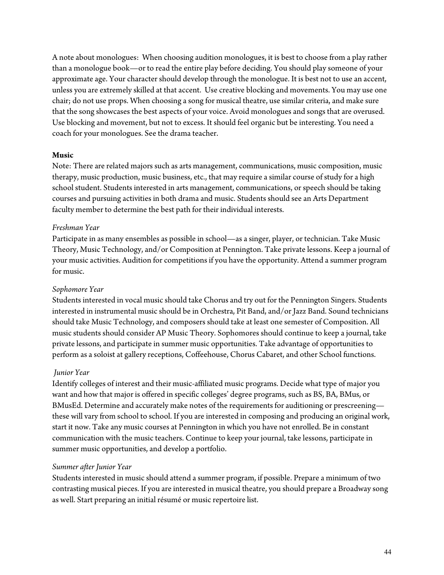A note about monologues: When choosing audition monologues, it is best to choose from a play rather than a monologue book—or to read the entire play before deciding. You should play someone of your approximate age. Your character should develop through the monologue. It is best not to use an accent, unless you are extremely skilled at that accent. Use creative blocking and movements. You may use one chair; do not use props. When choosing a song for musical theatre, use similar criteria, and make sure that the song showcases the best aspects of your voice. Avoid monologues and songs that are overused. Use blocking and movement, but not to excess. It should feel organic but be interesting. You need a coach for your monologues. See the drama teacher.

### **Music**

Note: There are related majors such as arts management, communications, music composition, music therapy, music production, music business, etc., that may require a similar course of study for a high school student. Students interested in arts management, communications, or speech should be taking courses and pursuing activities in both drama and music. Students should see an Arts Department faculty member to determine the best path for their individual interests.

### *Freshman Year*

Participate in as many ensembles as possible in school—as a singer, player, or technician. Take Music Theory, Music Technology, and/or Composition at Pennington. Take private lessons. Keep a journal of your music activities. Audition for competitions if you have the opportunity. Attend a summer program for music.

### *Sophomore Year*

Students interested in vocal music should take Chorus and try out for the Pennington Singers. Students interested in instrumental music should be in Orchestra, Pit Band, and/or Jazz Band. Sound technicians should take Music Technology, and composers should take at least one semester of Composition. All music students should consider AP Music Theory. Sophomores should continue to keep a journal, take private lessons, and participate in summer music opportunities. Take advantage of opportunities to perform as a soloist at gallery receptions, Coffeehouse, Chorus Cabaret, and other School functions.

### *Junior Year*

Identify colleges of interest and their music-affiliated music programs. Decide what type of major you want and how that major is offered in specific colleges' degree programs, such as BS, BA, BMus, or BMusEd. Determine and accurately make notes of the requirements for auditioning or prescreening these will vary from school to school. If you are interested in composing and producing an original work, start it now. Take any music courses at Pennington in which you have not enrolled. Be in constant communication with the music teachers. Continue to keep your journal, take lessons, participate in summer music opportunities, and develop a portfolio.

### *Summer after Junior Year*

Students interested in music should attend a summer program, if possible. Prepare a minimum of two contrasting musical pieces. If you are interested in musical theatre, you should prepare a Broadway song as well. Start preparing an initial résumé or music repertoire list.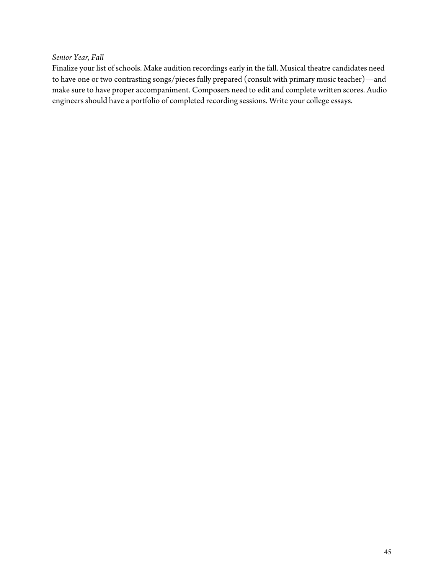### *Senior Year, Fall*

Finalize your list of schools. Make audition recordings early in the fall. Musical theatre candidates need to have one or two contrasting songs/pieces fully prepared (consult with primary music teacher)—and make sure to have proper accompaniment. Composers need to edit and complete written scores. Audio engineers should have a portfolio of completed recording sessions. Write your college essays.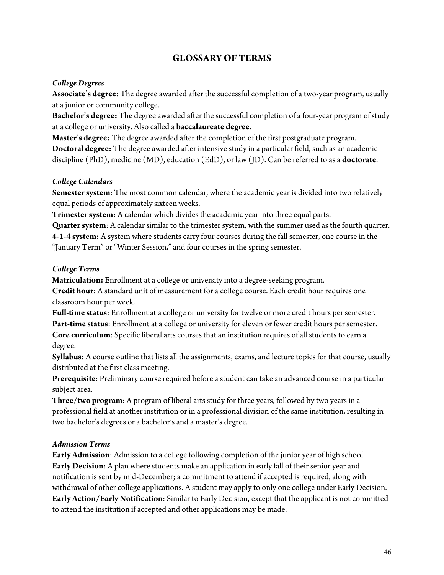# **GLOSSARY OF TERMS**

### *College Degrees*

**Associate's degree:** The degree awarded after the successful completion of a two-year program, usually at a junior or community college.

**Bachelor's degree:** The degree awarded after the successful completion of a four-year program of study at a college or university. Also called a **baccalaureate degree**.

**Master's degree:** The degree awarded after the completion of the first postgraduate program. **Doctoral degree:** The degree awarded after intensive study in a particular field, such as an academic

discipline (PhD), medicine (MD), education (EdD), or law (JD). Can be referred to as a **doctorate**.

### *College Calendars*

**Semester system**: The most common calendar, where the academic year is divided into two relatively equal periods of approximately sixteen weeks.

**Trimester system:** A calendar which divides the academic year into three equal parts.

**Quarter system**: A calendar similar to the trimester system, with the summer used as the fourth quarter. **4-1-4 system:** A system where students carry four courses during the fall semester, one course in the "January Term" or "Winter Session," and four courses in the spring semester.

### *College Terms*

**Matriculation:** Enrollment at a college or university into a degree-seeking program.

**Credit hour**: A standard unit of measurement for a college course. Each credit hour requires one classroom hour per week.

**Full-time status**: Enrollment at a college or university for twelve or more credit hours per semester.

**Part-time status**: Enrollment at a college or university for eleven or fewer credit hours per semester. **Core curriculum**: Specific liberal arts courses that an institution requires of all students to earn a

degree.

**Syllabus:** A course outline that lists all the assignments, exams, and lecture topics for that course, usually distributed at the first class meeting.

**Prerequisite**: Preliminary course required before a student can take an advanced course in a particular subject area.

**Three/two program**: A program of liberal arts study for three years, followed by two years in a professional field at another institution or in a professional division of the same institution, resulting in two bachelor's degrees or a bachelor's and a master's degree.

## *Admission Terms*

**Early Admission**: Admission to a college following completion of the junior year of high school. **Early Decision**: A plan where students make an application in early fall of their senior year and notification is sent by mid-December; a commitment to attend if accepted is required, along with withdrawal of other college applications. A student may apply to only one college under Early Decision. **Early Action/Early Notification**: Similar to Early Decision, except that the applicant is not committed to attend the institution if accepted and other applications may be made.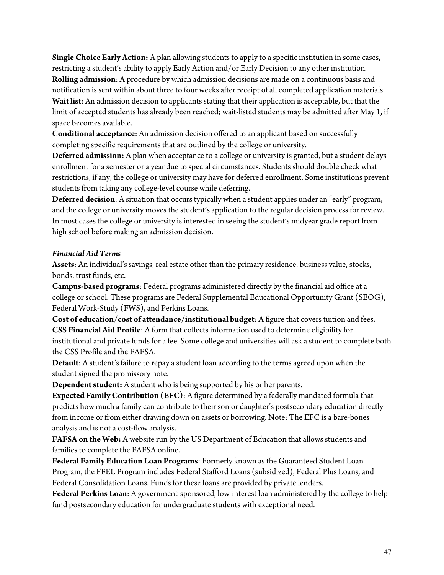**Single Choice Early Action:** A plan allowing students to apply to a specific institution in some cases, restricting a student's ability to apply Early Action and/or Early Decision to any other institution. **Rolling admission**: A procedure by which admission decisions are made on a continuous basis and notification is sent within about three to four weeks after receipt of all completed application materials. **Wait list**: An admission decision to applicants stating that their application is acceptable, but that the limit of accepted students has already been reached; wait-listed students may be admitted after May 1, if space becomes available.

**Conditional acceptance**: An admission decision offered to an applicant based on successfully completing specific requirements that are outlined by the college or university.

**Deferred admission:** A plan when acceptance to a college or university is granted, but a student delays enrollment for a semester or a year due to special circumstances. Students should double check what restrictions, if any, the college or university may have for deferred enrollment. Some institutions prevent students from taking any college-level course while deferring.

**Deferred decision**: A situation that occurs typically when a student applies under an "early" program, and the college or university moves the student's application to the regular decision process for review. In most cases the college or university is interested in seeing the student's midyear grade report from high school before making an admission decision.

### *Financial Aid Terms*

**Assets**: An individual's savings, real estate other than the primary residence, business value, stocks, bonds, trust funds, etc.

**Campus-based programs**: Federal programs administered directly by the financial aid office at a college or school. These programs are Federal Supplemental Educational Opportunity Grant (SEOG), Federal Work-Study (FWS), and Perkins Loans.

**Cost of education/cost of attendance/institutional budget**: A figure that covers tuition and fees. **CSS Financial Aid Profile**: A form that collects information used to determine eligibility for institutional and private funds for a fee. Some college and universities will ask a student to complete both the CSS Profile and the FAFSA.

**Default**: A student's failure to repay a student loan according to the terms agreed upon when the student signed the promissory note.

**Dependent student:** A student who is being supported by his or her parents.

**Expected Family Contribution (EFC)**: A figure determined by a federally mandated formula that predicts how much a family can contribute to their son or daughter's postsecondary education directly from income or from either drawing down on assets or borrowing. Note: The EFC is a bare-bones analysis and is not a cost-flow analysis.

**FAFSA on the Web:** A website run by the US Department of Education that allows students and families to complete the FAFSA online.

**Federal Family Education Loan Programs**: Formerly known as the Guaranteed Student Loan Program, the FFEL Program includes Federal Stafford Loans (subsidized), Federal Plus Loans, and Federal Consolidation Loans. Funds for these loans are provided by private lenders.

**Federal Perkins Loan**: A government-sponsored, low-interest loan administered by the college to help fund postsecondary education for undergraduate students with exceptional need.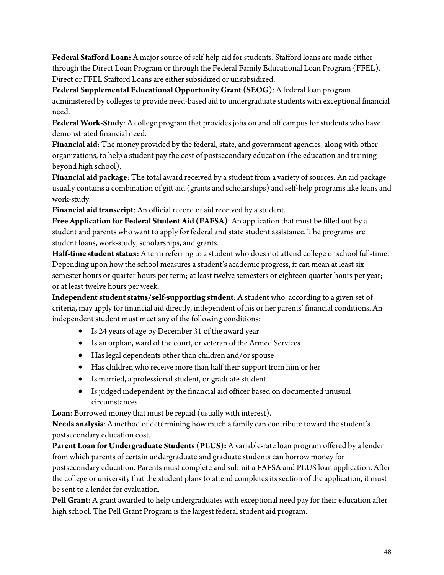**Federal Stafford Loan:** A major source of self-help aid for students. Stafford loans are made either through the Direct Loan Program or through the Federal Family Educational Loan Program (FFEL). Direct or FFEL Stafford Loans are either subsidized or unsubsidized.

**Federal Supplemental Educational Opportunity Grant (SEOG)**: A federal loan program administered by colleges to provide need-based aid to undergraduate students with exceptional financial need.

**Federal Work-Study**: A college program that provides jobs on and off campus for students who have demonstrated financial need.

**Financial aid**: The money provided by the federal, state, and government agencies, along with other organizations, to help a student pay the cost of postsecondary education (the education and training beyond high school).

**Financial aid package**: The total award received by a student from a variety of sources. An aid package usually contains a combination of gift aid (grants and scholarships) and self-help programs like loans and work-study.

**Financial aid transcript**: An official record of aid received by a student.

**Free Application for Federal Student Aid (FAFSA)**: An application that must be filled out by a student and parents who want to apply for federal and state student assistance. The programs are student loans, work-study, scholarships, and grants.

**Half-time student status:** A term referring to a student who does not attend college or school full-time. Depending upon how the school measures a student's academic progress, it can mean at least six semester hours or quarter hours per term; at least twelve semesters or eighteen quarter hours per year; or at least twelve hours per week.

**Independent student status/self-supporting student**: A student who, according to a given set of criteria, may apply for financial aid directly, independent of his or her parents' financial conditions. An independent student must meet any of the following conditions:

- Is 24 years of age by December 31 of the award year
- Is an orphan, ward of the court, or veteran of the Armed Services
- Has legal dependents other than children and/or spouse
- Has children who receive more than half their support from him or her
- Is married, a professional student, or graduate student
- Is judged independent by the financial aid officer based on documented unusual circumstances

**Loan**: Borrowed money that must be repaid (usually with interest).

**Needs analysis**: A method of determining how much a family can contribute toward the student's postsecondary education cost.

**Parent Loan for Undergraduate Students (PLUS):** A variable-rate loan program offered by a lender from which parents of certain undergraduate and graduate students can borrow money for postsecondary education. Parents must complete and submit a FAFSA and PLUS loan application. After the college or university that the student plans to attend completes its section of the application, it must be sent to a lender for evaluation.

**Pell Grant**: A grant awarded to help undergraduates with exceptional need pay for their education after high school. The Pell Grant Program is the largest federal student aid program.